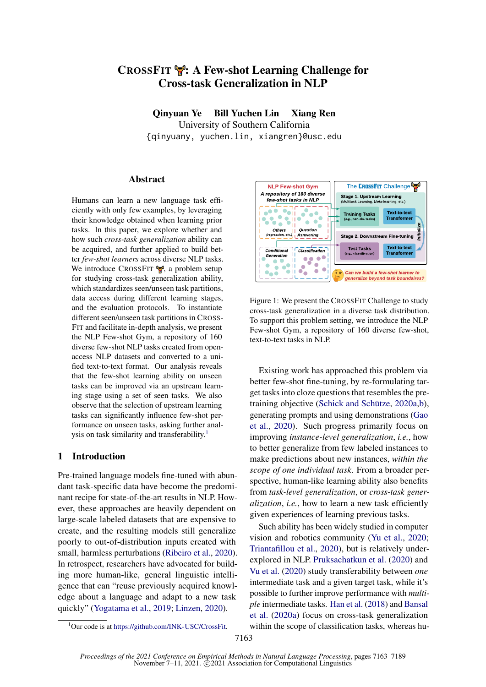# CROSSFIT : A Few-shot Learning Challenge for Cross-task Generalization in NLP

Qinyuan Ye Bill Yuchen Lin Xiang Ren University of Southern California {qinyuany, yuchen.lin, xiangren}@usc.edu

## **Abstract**

Humans can learn a new language task efficiently with only few examples, by leveraging their knowledge obtained when learning prior tasks. In this paper, we explore whether and how such *cross-task generalization* ability can be acquired, and further applied to build better *few-shot learners* across diverse NLP tasks. We introduce CROSSFIT  $\mathcal{F}$ , a problem setup for studying cross-task generalization ability, which standardizes seen/unseen task partitions, data access during different learning stages, and the evaluation protocols. To instantiate different seen/unseen task partitions in CROSS-FIT and facilitate in-depth analysis, we present the NLP Few-shot Gym, a repository of 160 diverse few-shot NLP tasks created from openaccess NLP datasets and converted to a unified text-to-text format. Our analysis reveals that the few-shot learning ability on unseen tasks can be improved via an upstream learning stage using a set of seen tasks. We also observe that the selection of upstream learning tasks can significantly influence few-shot performance on unseen tasks, asking further anal-ysis on task similarity and transferability.<sup>[1](#page-0-0)</sup>

## 1 Introduction

Pre-trained language models fine-tuned with abundant task-specific data have become the predominant recipe for state-of-the-art results in NLP. However, these approaches are heavily dependent on large-scale labeled datasets that are expensive to create, and the resulting models still generalize poorly to out-of-distribution inputs created with small, harmless perturbations [\(Ribeiro et al.,](#page-15-0) [2020\)](#page-15-0). In retrospect, researchers have advocated for building more human-like, general linguistic intelligence that can "reuse previously acquired knowledge about a language and adapt to a new task quickly" [\(Yogatama et al.,](#page-17-0) [2019;](#page-17-0) [Linzen,](#page-13-0) [2020\)](#page-13-0).

<span id="page-0-1"></span>

Figure 1: We present the CROSSFIT Challenge to study cross-task generalization in a diverse task distribution. To support this problem setting, we introduce the NLP Few-shot Gym, a repository of 160 diverse few-shot, text-to-text tasks in NLP.

Existing work has approached this problem via better few-shot fine-tuning, by re-formulating target tasks into cloze questions that resembles the pretraining objective [\(Schick and Schütze,](#page-15-1) [2020a,](#page-15-1)[b\)](#page-15-2), generating prompts and using demonstrations [\(Gao](#page-11-0) [et al.,](#page-11-0) [2020\)](#page-11-0). Such progress primarily focus on improving *instance-level generalization*, *i.e.*, how to better generalize from few labeled instances to make predictions about new instances, *within the scope of one individual task*. From a broader perspective, human-like learning ability also benefits from *task-level generalization*, or *cross-task generalization*, *i.e.*, how to learn a new task efficiently given experiences of learning previous tasks.

Such ability has been widely studied in computer vision and robotics community [\(Yu et al.,](#page-17-1) [2020;](#page-17-1) [Triantafillou et al.,](#page-16-0) [2020\)](#page-16-0), but is relatively underexplored in NLP. [Pruksachatkun et al.](#page-14-0) [\(2020\)](#page-14-0) and [Vu et al.](#page-16-1) [\(2020\)](#page-16-1) study transferability between *one* intermediate task and a given target task, while it's possible to further improve performance with *multiple* intermediate tasks. [Han et al.](#page-11-1) [\(2018\)](#page-11-1) and [Bansal](#page-9-0) [et al.](#page-9-0) [\(2020a\)](#page-9-0) focus on cross-task generalization within the scope of classification tasks, whereas hu-

<span id="page-0-0"></span><sup>&</sup>lt;sup>1</sup>Our code is at [https://github.com/INK-USC/CrossFit.](https://github.com/INK-USC/CrossFit)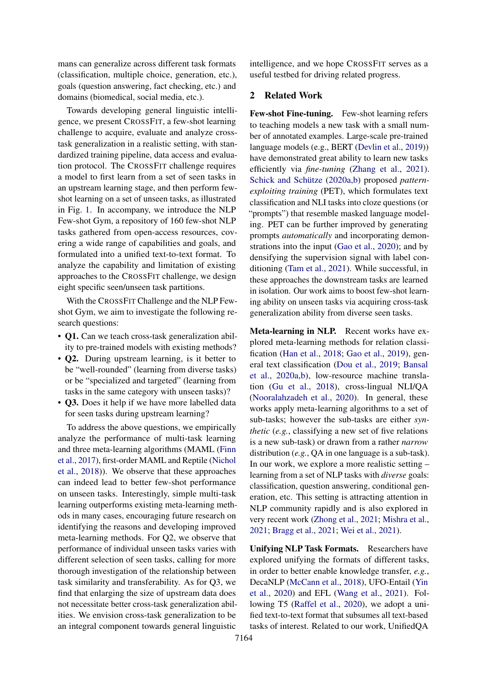mans can generalize across different task formats (classification, multiple choice, generation, etc.), goals (question answering, fact checking, etc.) and domains (biomedical, social media, etc.).

Towards developing general linguistic intelligence, we present CROSSFIT, a few-shot learning challenge to acquire, evaluate and analyze crosstask generalization in a realistic setting, with standardized training pipeline, data access and evaluation protocol. The CROSSFIT challenge requires a model to first learn from a set of seen tasks in an upstream learning stage, and then perform fewshot learning on a set of unseen tasks, as illustrated in Fig. [1.](#page-0-1) In accompany, we introduce the NLP Few-shot Gym, a repository of 160 few-shot NLP tasks gathered from open-access resources, covering a wide range of capabilities and goals, and formulated into a unified text-to-text format. To analyze the capability and limitation of existing approaches to the CROSSFIT challenge, we design eight specific seen/unseen task partitions.

With the CROSSFIT Challenge and the NLP Fewshot Gym, we aim to investigate the following research questions:

- Q1. Can we teach cross-task generalization ability to pre-trained models with existing methods?
- **Q2.** During upstream learning, is it better to be "well-rounded" (learning from diverse tasks) or be "specialized and targeted" (learning from tasks in the same category with unseen tasks)?
- Q3. Does it help if we have more labelled data for seen tasks during upstream learning?

To address the above questions, we empirically analyze the performance of multi-task learning and three meta-learning algorithms (MAML [\(Finn](#page-11-2) [et al.,](#page-11-2) [2017\)](#page-11-2), first-order MAML and Reptile [\(Nichol](#page-14-1) [et al.,](#page-14-1) [2018\)](#page-14-1)). We observe that these approaches can indeed lead to better few-shot performance on unseen tasks. Interestingly, simple multi-task learning outperforms existing meta-learning methods in many cases, encouraging future research on identifying the reasons and developing improved meta-learning methods. For Q2, we observe that performance of individual unseen tasks varies with different selection of seen tasks, calling for more thorough investigation of the relationship between task similarity and transferability. As for Q3, we find that enlarging the size of upstream data does not necessitate better cross-task generalization abilities. We envision cross-task generalization to be an integral component towards general linguistic

intelligence, and we hope CROSSFIT serves as a useful testbed for driving related progress.

## 2 Related Work

Few-shot Fine-tuning. Few-shot learning refers to teaching models a new task with a small number of annotated examples. Large-scale pre-trained language models (e.g., BERT [\(Devlin et al.,](#page-10-0) [2019\)](#page-10-0)) have demonstrated great ability to learn new tasks efficiently via *fine-tuning* [\(Zhang et al.,](#page-18-0) [2021\)](#page-18-0). [Schick and Schütze](#page-15-1) [\(2020a,](#page-15-1)[b\)](#page-15-2) proposed *patternexploiting training* (PET), which formulates text classification and NLI tasks into cloze questions (or "prompts") that resemble masked language modeling. PET can be further improved by generating prompts *automatically* and incorporating demonstrations into the input [\(Gao et al.,](#page-11-0) [2020\)](#page-11-0); and by densifying the supervision signal with label conditioning [\(Tam et al.,](#page-16-2) [2021\)](#page-16-2). While successful, in these approaches the downstream tasks are learned in isolation. Our work aims to boost few-shot learning ability on unseen tasks via acquiring cross-task generalization ability from diverse seen tasks.

Meta-learning in NLP. Recent works have explored meta-learning methods for relation classification [\(Han et al.,](#page-11-1) [2018;](#page-11-1) [Gao et al.,](#page-11-3) [2019\)](#page-11-3), general text classification [\(Dou et al.,](#page-10-1) [2019;](#page-10-1) [Bansal](#page-9-0) [et al.,](#page-9-0) [2020a,](#page-9-0)[b\)](#page-9-1), low-resource machine translation [\(Gu et al.,](#page-11-4) [2018\)](#page-11-4), cross-lingual NLI/QA [\(Nooralahzadeh et al.,](#page-14-2) [2020\)](#page-14-2). In general, these works apply meta-learning algorithms to a set of sub-tasks; however the sub-tasks are either *synthetic* (*e.g.*, classifying a new set of five relations is a new sub-task) or drawn from a rather *narrow* distribution (*e.g.*, QA in one language is a sub-task). In our work, we explore a more realistic setting – learning from a set of NLP tasks with *diverse* goals: classification, question answering, conditional generation, etc. This setting is attracting attention in NLP community rapidly and is also explored in very recent work [\(Zhong et al.,](#page-18-1) [2021;](#page-18-1) [Mishra et al.,](#page-14-3) [2021;](#page-14-3) [Bragg et al.,](#page-9-2) [2021;](#page-9-2) [Wei et al.,](#page-16-3) [2021\)](#page-16-3).

Unifying NLP Task Formats. Researchers have explored unifying the formats of different tasks, in order to better enable knowledge transfer, *e.g.*, DecaNLP [\(McCann et al.,](#page-13-1) [2018\)](#page-13-1), UFO-Entail [\(Yin](#page-17-2) [et al.,](#page-17-2) [2020\)](#page-17-2) and EFL [\(Wang et al.,](#page-16-4) [2021\)](#page-16-4). Following T5 [\(Raffel et al.,](#page-14-4) [2020\)](#page-14-4), we adopt a unified text-to-text format that subsumes all text-based tasks of interest. Related to our work, UnifiedQA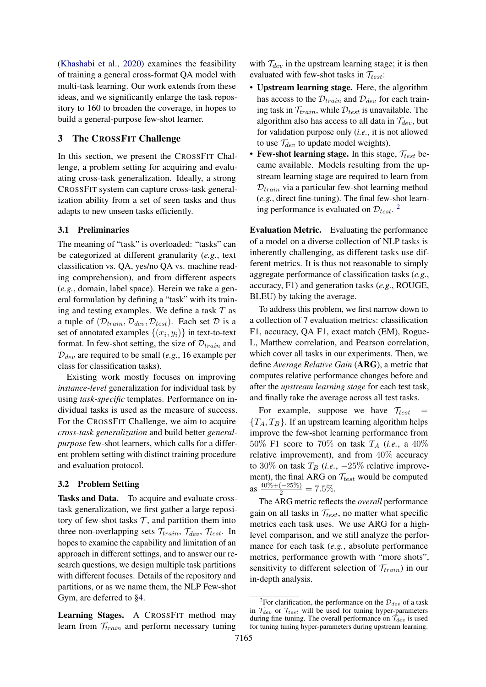[\(Khashabi et al.,](#page-12-0) [2020\)](#page-12-0) examines the feasibility of training a general cross-format QA model with multi-task learning. Our work extends from these ideas, and we significantly enlarge the task repository to 160 to broaden the coverage, in hopes to build a general-purpose few-shot learner.

## 3 The CROSSFIT Challenge

In this section, we present the CROSSFIT Challenge, a problem setting for acquiring and evaluating cross-task generalization. Ideally, a strong CROSSFIT system can capture cross-task generalization ability from a set of seen tasks and thus adapts to new unseen tasks efficiently.

## 3.1 Preliminaries

The meaning of "task" is overloaded: "tasks" can be categorized at different granularity (*e.g.*, text classification vs. QA, yes/no QA vs. machine reading comprehension), and from different aspects (*e.g.*, domain, label space). Herein we take a general formulation by defining a "task" with its training and testing examples. We define a task  $T$  as a tuple of  $(\mathcal{D}_{train}, \mathcal{D}_{dev}, \mathcal{D}_{test})$ . Each set  $\mathcal D$  is a set of annotated examples  $\{(x_i, y_i)\}\)$  in text-to-text format. In few-shot setting, the size of  $\mathcal{D}_{train}$  and  $D_{dev}$  are required to be small (*e.g.*, 16 example per class for classification tasks).

Existing work mostly focuses on improving *instance-level* generalization for individual task by using *task-specific* templates. Performance on individual tasks is used as the measure of success. For the CROSSFIT Challenge, we aim to acquire *cross-task generalization* and build better *generalpurpose* few-shot learners, which calls for a different problem setting with distinct training procedure and evaluation protocol.

## <span id="page-2-1"></span>3.2 Problem Setting

Tasks and Data. To acquire and evaluate crosstask generalization, we first gather a large repository of few-shot tasks  $T$ , and partition them into three non-overlapping sets  $\mathcal{T}_{train}$ ,  $\mathcal{T}_{dev}$ ,  $\mathcal{T}_{test}$ . In hopes to examine the capability and limitation of an approach in different settings, and to answer our research questions, we design multiple task partitions with different focuses. Details of the repository and partitions, or as we name them, the NLP Few-shot Gym, are deferred to [§4.](#page-3-0)

Learning Stages. A CROSSFIT method may learn from  $\mathcal{T}_{train}$  and perform necessary tuning

with  $\mathcal{T}_{dev}$  in the upstream learning stage; it is then evaluated with few-shot tasks in  $\mathcal{T}_{test}$ :

- Upstream learning stage. Here, the algorithm has access to the  $\mathcal{D}_{train}$  and  $\mathcal{D}_{dev}$  for each training task in  $\mathcal{T}_{train}$ , while  $\mathcal{D}_{test}$  is unavailable. The algorithm also has access to all data in  $\mathcal{T}_{dev}$ , but for validation purpose only (*i.e.*, it is not allowed to use  $\mathcal{T}_{dev}$  to update model weights).
- Few-shot learning stage. In this stage,  $\mathcal{T}_{test}$  became available. Models resulting from the upstream learning stage are required to learn from  $D_{train}$  via a particular few-shot learning method (*e.g.*, direct fine-tuning). The final few-shot learning performance is evaluated on  $\mathcal{D}_{test}$ .<sup>[2](#page-2-0)</sup>

Evaluation Metric. Evaluating the performance of a model on a diverse collection of NLP tasks is inherently challenging, as different tasks use different metrics. It is thus not reasonable to simply aggregate performance of classification tasks (*e.g.*, accuracy, F1) and generation tasks (*e.g.*, ROUGE, BLEU) by taking the average.

To address this problem, we first narrow down to a collection of 7 evaluation metrics: classification F1, accuracy, QA F1, exact match (EM), Rogue-L, Matthew correlation, and Pearson correlation, which cover all tasks in our experiments. Then, we define *Average Relative Gain* (ARG), a metric that computes relative performance changes before and after the *upstream learning stage* for each test task, and finally take the average across all test tasks.

For example, suppose we have  $\mathcal{T}_{test}$  =  ${T_A, T_B}$ . If an upstream learning algorithm helps improve the few-shot learning performance from 50% F1 score to 70% on task  $T_A$  (*i.e.*, a 40%) relative improvement), and from 40% accuracy to 30% on task  $T_B$  (*i.e.*,  $-25\%$  relative improvement), the final ARG on  $\mathcal{T}_{test}$  would be computed as  $\frac{40\% + (-25\%)}{2} = 7.5\%$ .

The ARG metric reflects the *overall* performance gain on all tasks in  $\mathcal{T}_{test}$ , no matter what specific metrics each task uses. We use ARG for a highlevel comparison, and we still analyze the performance for each task (*e.g.*, absolute performance metrics, performance growth with "more shots", sensitivity to different selection of  $\mathcal{T}_{train}$ ) in our in-depth analysis.

<span id="page-2-0"></span><sup>&</sup>lt;sup>2</sup>For clarification, the performance on the  $\mathcal{D}_{dev}$  of a task in  $\mathcal{T}_{dev}$  or  $\mathcal{T}_{test}$  will be used for tuning hyper-parameters during fine-tuning. The overall performance on  $\hat{\mathcal{T}}_{dev}$  is used for tuning tuning hyper-parameters during upstream learning.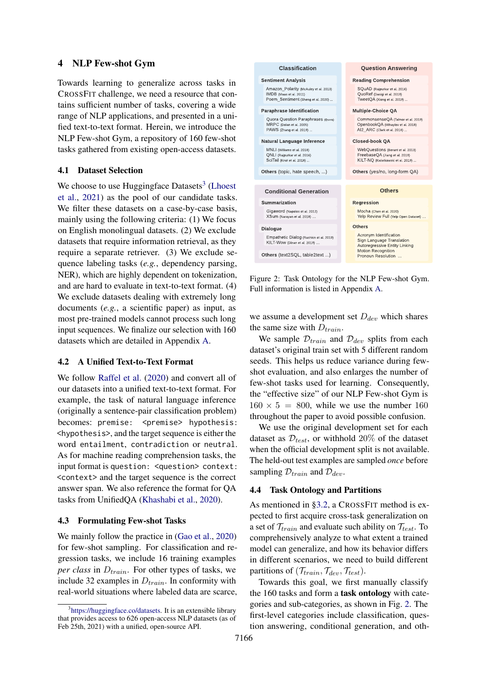## <span id="page-3-0"></span>4 NLP Few-shot Gym

Towards learning to generalize across tasks in CROSSFIT challenge, we need a resource that contains sufficient number of tasks, covering a wide range of NLP applications, and presented in a unified text-to-text format. Herein, we introduce the NLP Few-shot Gym, a repository of 160 few-shot tasks gathered from existing open-access datasets.

## 4.1 Dataset Selection

We choose to use Huggingface Datasets<sup>[3](#page-3-1)</sup> [\(Lhoest](#page-13-2) [et al.,](#page-13-2) [2021\)](#page-13-2) as the pool of our candidate tasks. We filter these datasets on a case-by-case basis, mainly using the following criteria: (1) We focus on English monolingual datasets. (2) We exclude datasets that require information retrieval, as they require a separate retriever. (3) We exclude sequence labeling tasks (*e.g.*, dependency parsing, NER), which are highly dependent on tokenization, and are hard to evaluate in text-to-text format. (4) We exclude datasets dealing with extremely long documents (*e.g.*, a scientific paper) as input, as most pre-trained models cannot process such long input sequences. We finalize our selection with 160 datasets which are detailed in Appendix [A.](#page-19-0)

## 4.2 A Unified Text-to-Text Format

We follow [Raffel et al.](#page-14-4) [\(2020\)](#page-14-4) and convert all of our datasets into a unified text-to-text format. For example, the task of natural language inference (originally a sentence-pair classification problem) becomes: premise: <premise> hypothesis: <hypothesis>, and the target sequence is either the word entailment, contradiction or neutral. As for machine reading comprehension tasks, the input format is question: <question> context: <context> and the target sequence is the correct answer span. We also reference the format for QA tasks from UnifiedQA [\(Khashabi et al.,](#page-12-0) [2020\)](#page-12-0).

## <span id="page-3-4"></span>4.3 Formulating Few-shot Tasks

We mainly follow the practice in [\(Gao et al.,](#page-11-0) [2020\)](#page-11-0) for few-shot sampling. For classification and regression tasks, we include 16 training examples *per class* in  $D_{train}$ . For other types of tasks, we include 32 examples in  $D_{train}$ . In conformity with real-world situations where labeled data are scarce,

<span id="page-3-2"></span>

Figure 2: Task Ontology for the NLP Few-shot Gym. Full information is listed in Appendix [A.](#page-19-0)

we assume a development set  $D_{dev}$  which shares the same size with  $D_{train}$ .

We sample  $\mathcal{D}_{train}$  and  $\mathcal{D}_{dev}$  splits from each dataset's original train set with 5 different random seeds. This helps us reduce variance during fewshot evaluation, and also enlarges the number of few-shot tasks used for learning. Consequently, the "effective size" of our NLP Few-shot Gym is  $160 \times 5 = 800$ , while we use the number 160 throughout the paper to avoid possible confusion.

We use the original development set for each dataset as  $\mathcal{D}_{test}$ , or withhold 20% of the dataset when the official development split is not available. The held-out test examples are sampled *once* before sampling  $\mathcal{D}_{train}$  and  $\mathcal{D}_{dev}$ .

## <span id="page-3-3"></span>4.4 Task Ontology and Partitions

As mentioned in [§3.2,](#page-2-1) a CROSSFIT method is expected to first acquire cross-task generalization on a set of  $\mathcal{T}_{train}$  and evaluate such ability on  $\mathcal{T}_{test}$ . To comprehensively analyze to what extent a trained model can generalize, and how its behavior differs in different scenarios, we need to build different partitions of  $(\mathcal{T}_{train}, \mathcal{T}_{dev}, \mathcal{T}_{test})$ .

Towards this goal, we first manually classify the 160 tasks and form a task ontology with categories and sub-categories, as shown in Fig. [2.](#page-3-2) The first-level categories include classification, question answering, conditional generation, and oth-

<span id="page-3-1"></span><sup>&</sup>lt;sup>3</sup>[https://huggingface.co/datasets.](https://huggingface.co/datasets) It is an extensible library that provides access to 626 open-access NLP datasets (as of Feb 25th, 2021) with a unified, open-source API.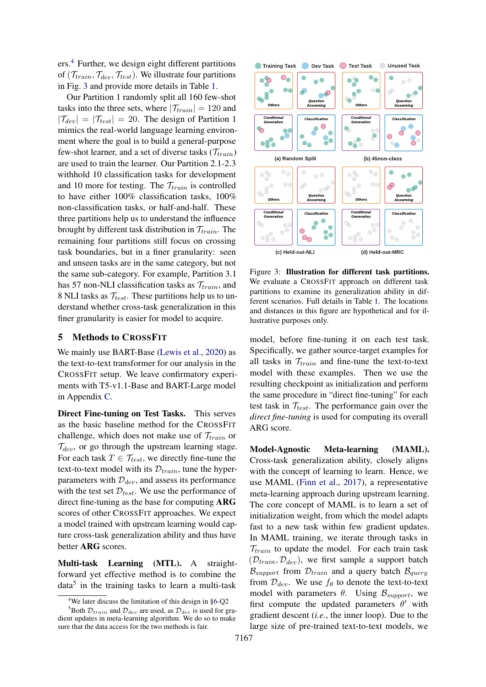ers.[4](#page-4-0) Further, we design eight different partitions of  $(\mathcal{T}_{train}, \mathcal{T}_{dev}, \mathcal{T}_{test})$ . We illustrate four partitions in Fig. [3](#page-4-1) and provide more details in Table [1.](#page-5-0)

Our Partition 1 randomly split all 160 few-shot tasks into the three sets, where  $|\mathcal{T}_{train}| = 120$  and  $|\mathcal{T}_{dev}| = |\mathcal{T}_{test}| = 20$ . The design of Partition 1 mimics the real-world language learning environment where the goal is to build a general-purpose few-shot learner, and a set of diverse tasks  $(\mathcal{T}_{train})$ are used to train the learner. Our Partition 2.1-2.3 withhold 10 classification tasks for development and 10 more for testing. The  $\mathcal{T}_{train}$  is controlled to have either 100% classification tasks, 100% non-classification tasks, or half-and-half. These three partitions help us to understand the influence brought by different task distribution in  $\mathcal{T}_{train}$ . The remaining four partitions still focus on crossing task boundaries, but in a finer granularity: seen and unseen tasks are in the same category, but not the same sub-category. For example, Partition 3.1 has 57 non-NLI classification tasks as  $\mathcal{T}_{train}$ , and 8 NLI tasks as  $\mathcal{T}_{test}$ . These partitions help us to understand whether cross-task generalization in this finer granularity is easier for model to acquire.

## 5 Methods to CROSSFIT

We mainly use BART-Base [\(Lewis et al.,](#page-12-1) [2020\)](#page-12-1) as the text-to-text transformer for our analysis in the CROSSFIT setup. We leave confirmatory experiments with T5-v1.1-Base and BART-Large model in Appendix [C.](#page-24-0)

Direct Fine-tuning on Test Tasks. This serves as the basic baseline method for the CROSSFIT challenge, which does not make use of  $\mathcal{T}_{train}$  or  $\mathcal{T}_{dev}$ , or go through the upstream learning stage. For each task  $T \in \mathcal{T}_{test}$ , we directly fine-tune the text-to-text model with its  $\mathcal{D}_{train}$ , tune the hyperparameters with  $\mathcal{D}_{dev}$ , and assess its performance with the test set  $\mathcal{D}_{test}$ . We use the performance of direct fine-tuning as the base for computing ARG scores of other CROSSFIT approaches. We expect a model trained with upstream learning would capture cross-task generalization ability and thus have better ARG scores.

Multi-task Learning (MTL). A straightforward yet effective method is to combine the data<sup>[5](#page-4-2)</sup> in the training tasks to learn a multi-task

<span id="page-4-1"></span>

Figure 3: Illustration for different task partitions. We evaluate a CROSSFIT approach on different task partitions to examine its generalization ability in different scenarios. Full details in Table [1.](#page-5-0) The locations and distances in this figure are hypothetical and for illustrative purposes only.

model, before fine-tuning it on each test task. Specifically, we gather source-target examples for all tasks in  $\mathcal{T}_{train}$  and fine-tune the text-to-text model with these examples. Then we use the resulting checkpoint as initialization and perform the same procedure in "direct fine-tuning" for each test task in  $\mathcal{T}_{test}$ . The performance gain over the *direct fine-tuning* is used for computing its overall ARG score.

Model-Agnostic Meta-learning (MAML). Cross-task generalization ability, closely aligns with the concept of learning to learn. Hence, we use MAML [\(Finn et al.,](#page-11-2) [2017\)](#page-11-2), a representative meta-learning approach during upstream learning. The core concept of MAML is to learn a set of initialization weight, from which the model adapts fast to a new task within few gradient updates. In MAML training, we iterate through tasks in  $\mathcal{T}_{train}$  to update the model. For each train task  $(\mathcal{D}_{train}, \mathcal{D}_{dev})$ , we first sample a support batch  $B_{\text{support}}$  from  $\mathcal{D}_{\text{train}}$  and a query batch  $B_{\text{query}}$ from  $\mathcal{D}_{dev}$ . We use  $f_{\theta}$  to denote the text-to-text model with parameters  $\theta$ . Using  $\mathcal{B}_{support}$ , we first compute the updated parameters  $\theta'$  with gradient descent (*i.e.*, the inner loop). Due to the large size of pre-trained text-to-text models, we

<span id="page-4-2"></span><span id="page-4-0"></span> $4$ We later discuss the limitation of this design in [§6-](#page-5-1)Q2

<sup>&</sup>lt;sup>5</sup>Both  $\mathcal{D}_{train}$  and  $\mathcal{D}_{dev}$  are used, as  $\mathcal{D}_{dev}$  is used for gradient updates in meta-learning algorithm. We do so to make sure that the data access for the two methods is fair.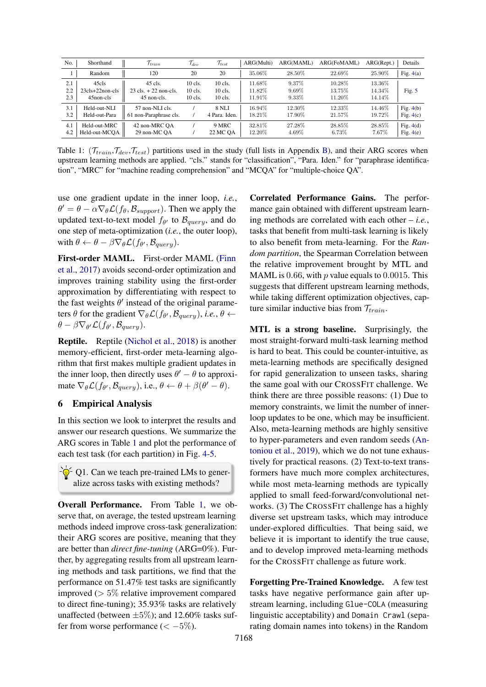<span id="page-5-0"></span>

| No. | Shorthand         | $\mathcal{T}_{train}$                   | $\mathcal{T}_{dev}$ | $\mathcal{T}_{test}$ | ARG(Multi) | ARG(MAML) | ARG(FoMAML) | ARG(Rept.) | Details     |
|-----|-------------------|-----------------------------------------|---------------------|----------------------|------------|-----------|-------------|------------|-------------|
|     | Random            | 120                                     | 20                  | 20                   | 35.06%     | 28.50%    | 22.69%      | 25.90%     | Fig. $4(a)$ |
| 2.1 | 45cls             | 45 cls.                                 | $10$ cls.           | $10$ cls.            | 11.68%     | 9.37%     | 10.28\%     | $13.36\%$  |             |
| 2.2 | $23cls+22non-cls$ | $23 \text{ cls.} + 22 \text{ non-cls.}$ | $10$ cls.           | $10$ cls.            | 11.82%     | $9.69\%$  | 13.75%      | 14.34%     | Fig. $5$    |
| 2.3 | 45 non-cls        | 45 non-cls.                             | $10$ cls.           | $10$ cls.            | 11.91%     | $9.33\%$  | 11.20%      | 14.14%     |             |
| 3.1 | Held-out-NLI      | 57 non-NLI cls.                         |                     | <b>8 NLI</b>         | 16.94%     | 12.30%    | 12.33%      | 14.46%     | Fig. $4(b)$ |
| 3.2 | Held-out-Para     | 61 non-Paraphrase cls.                  |                     | 4 Para. Iden.        | 18.21\%    | 17.90%    | 21.57%      | 19.72%     | Fig. $4(c)$ |
| 4.1 | Held-out-MRC      | 42 non-MRC OA                           |                     | 9 MRC                | 32.81\%    | 27.28%    | 28.85%      | 28.85%     | Fig. $4(d)$ |
| 4.2 | Held-out-MCOA     | 29 non-MC OA                            |                     | 22 MC OA             | 12.20%     | 4.69%     | $6.73\%$    | 7.67%      | Fig. $4(e)$ |

Table 1:  $(\mathcal{T}_{train}, \mathcal{T}_{dev}, \mathcal{T}_{test})$  partitions used in the study (full lists in Appendix [B\)](#page-21-0), and their ARG scores when upstream learning methods are applied. "cls." stands for "classification", "Para. Iden." for "paraphrase identification", "MRC" for "machine reading comprehension" and "MCQA" for "multiple-choice QA".

use one gradient update in the inner loop, *i.e.*,  $\theta' = \theta - \alpha \nabla_{\theta} \mathcal{L}(f_{\theta}, \mathcal{B}_{support})$ . Then we apply the updated text-to-text model  $f_{\theta'}$  to  $\mathcal{B}_{query}$ , and do one step of meta-optimization (*i.e.*, the outer loop), with  $\theta \leftarrow \theta - \beta \nabla_{\theta} \mathcal{L}(f_{\theta'}, \mathcal{B}_{query}).$ 

First-order MAML. First-order MAML [\(Finn](#page-11-2) [et al.,](#page-11-2) [2017\)](#page-11-2) avoids second-order optimization and improves training stability using the first-order approximation by differentiating with respect to the fast weights  $\theta'$  instead of the original parameters  $\theta$  for the gradient  $\nabla_{\theta} \mathcal{L}(f_{\theta}, \mathcal{B}_{query}), i.e., \theta \leftarrow$  $\theta - \beta \nabla_{\theta} \mathcal{L}(f_{\theta'}, \mathcal{B}_{query}).$ 

Reptile. Reptile [\(Nichol et al.,](#page-14-1) [2018\)](#page-14-1) is another memory-efficient, first-order meta-learning algorithm that first makes multiple gradient updates in the inner loop, then directly uses  $\theta' - \theta$  to approximate  $\nabla_{\theta} \mathcal{L}(\hat{f}_{\theta'}, \mathcal{B}_{query}),$  i.e.,  $\theta \leftarrow \theta + \beta(\theta' - \theta)$ .

## <span id="page-5-1"></span>6 Empirical Analysis

In this section we look to interpret the results and answer our research questions. We summarize the ARG scores in Table [1](#page-5-0) and plot the performance of each test task (for each partition) in Fig. [4-](#page-6-0)[5.](#page-7-0)

 $\frac{1}{2}Q^2$  Q1. Can we teach pre-trained LMs to generalize across tasks with existing methods?

Overall Performance. From Table [1,](#page-5-0) we observe that, on average, the tested upstream learning methods indeed improve cross-task generalization: their ARG scores are positive, meaning that they are better than *direct fine-tuning* (ARG=0%). Further, by aggregating results from all upstream learning methods and task partitions, we find that the performance on 51.47% test tasks are significantly improved (> 5% relative improvement compared to direct fine-tuning); 35.93% tasks are relatively unaffected (between  $\pm 5\%$ ); and 12.60% tasks suffer from worse performance ( $<-5\%$ ).

Correlated Performance Gains. The performance gain obtained with different upstream learning methods are correlated with each other – *i.e.*, tasks that benefit from multi-task learning is likely to also benefit from meta-learning. For the *Random partition*, the Spearman Correlation between the relative improvement brought by MTL and MAML is 0.66, with  $p$  value equals to 0.0015. This suggests that different upstream learning methods, while taking different optimization objectives, capture similar inductive bias from  $\mathcal{T}_{train}$ .

MTL is a strong baseline. Surprisingly, the most straight-forward multi-task learning method is hard to beat. This could be counter-intuitive, as meta-learning methods are specifically designed for rapid generalization to unseen tasks, sharing the same goal with our CROSSFIT challenge. We think there are three possible reasons: (1) Due to memory constraints, we limit the number of innerloop updates to be one, which may be insufficient. Also, meta-learning methods are highly sensitive to hyper-parameters and even random seeds [\(An](#page-9-3)[toniou et al.,](#page-9-3) [2019\)](#page-9-3), which we do not tune exhaustively for practical reasons. (2) Text-to-text transformers have much more complex architectures, while most meta-learning methods are typically applied to small feed-forward/convolutional networks. (3) The CROSSFIT challenge has a highly diverse set upstream tasks, which may introduce under-explored difficulties. That being said, we believe it is important to identify the true cause, and to develop improved meta-learning methods for the CROSSFIT challenge as future work.

Forgetting Pre-Trained Knowledge. A few test tasks have negative performance gain after upstream learning, including Glue-COLA (measuring linguistic acceptability) and Domain Crawl (separating domain names into tokens) in the Random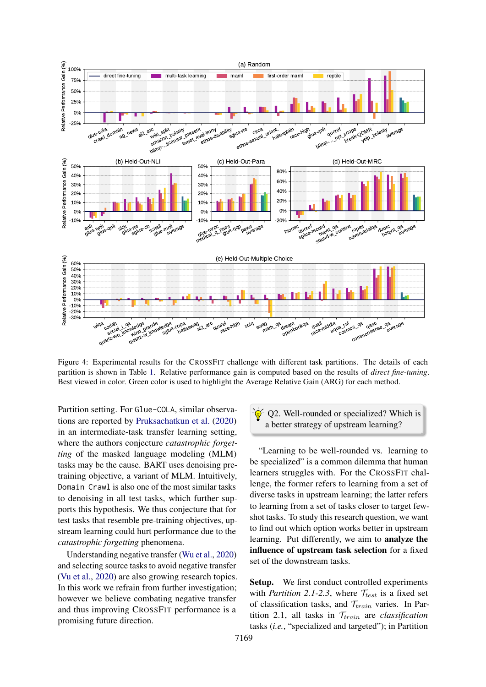<span id="page-6-0"></span>

Figure 4: Experimental results for the CROSSFIT challenge with different task partitions. The details of each partition is shown in Table [1.](#page-5-0) Relative performance gain is computed based on the results of *direct fine-tuning*. Best viewed in color. Green color is used to highlight the Average Relative Gain (ARG) for each method.

Partition setting. For Glue-COLA, similar observations are reported by [Pruksachatkun et al.](#page-14-0) [\(2020\)](#page-14-0) in an intermediate-task transfer learning setting, where the authors conjecture *catastrophic forgetting* of the masked language modeling (MLM) tasks may be the cause. BART uses denoising pretraining objective, a variant of MLM. Intuitively, Domain Crawl is also one of the most similar tasks to denoising in all test tasks, which further supports this hypothesis. We thus conjecture that for test tasks that resemble pre-training objectives, upstream learning could hurt performance due to the *catastrophic forgetting* phenomena.

Understanding negative transfer [\(Wu et al.,](#page-17-3) [2020\)](#page-17-3) and selecting source tasks to avoid negative transfer [\(Vu et al.,](#page-16-1) [2020\)](#page-16-1) are also growing research topics. In this work we refrain from further investigation; however we believe combating negative transfer and thus improving CROSSFIT performance is a promising future direction.

Q2. Well-rounded or specialized? Which is a better strategy of upstream learning?

"Learning to be well-rounded vs. learning to be specialized" is a common dilemma that human learners struggles with. For the CROSSFIT challenge, the former refers to learning from a set of diverse tasks in upstream learning; the latter refers to learning from a set of tasks closer to target fewshot tasks. To study this research question, we want to find out which option works better in upstream learning. Put differently, we aim to analyze the influence of upstream task selection for a fixed set of the downstream tasks.

Setup. We first conduct controlled experiments with *Partition 2.1-2.3*, where  $\mathcal{T}_{test}$  is a fixed set of classification tasks, and  $\mathcal{T}_{train}$  varies. In Partition 2.1, all tasks in  $\mathcal{T}_{train}$  are *classification* tasks (*i.e.*, "specialized and targeted"); in Partition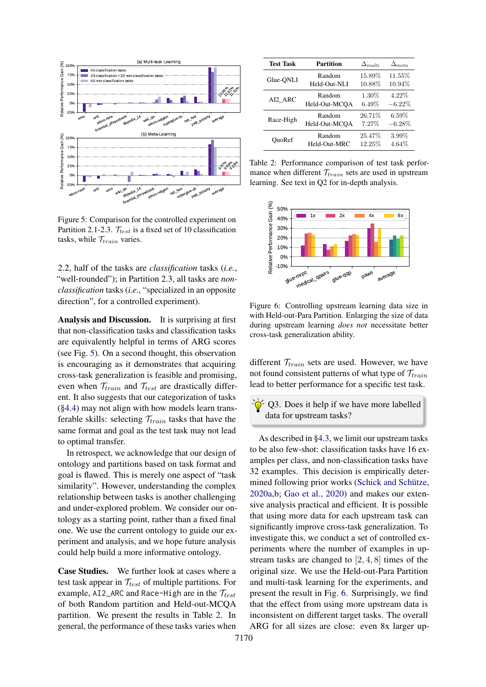<span id="page-7-0"></span>

Figure 5: Comparison for the controlled experiment on Partition 2.1-2.3.  $\mathcal{T}_{test}$  is a fixed set of 10 classification tasks, while  $\mathcal{T}_{train}$  varies.

2.2, half of the tasks are *classification* tasks (*i.e.*, "well-rounded"); in Partition 2.3, all tasks are *nonclassification* tasks (*i.e.*, "specialized in an opposite direction", for a controlled experiment).

Analysis and Discussion. It is surprising at first that non-classification tasks and classification tasks are equivalently helpful in terms of ARG scores (see Fig. [5\)](#page-7-0). On a second thought, this observation is encouraging as it demonstrates that acquiring cross-task generalization is feasible and promising, even when  $\mathcal{T}_{train}$  and  $\mathcal{T}_{test}$  are drastically different. It also suggests that our categorization of tasks ([§4.4\)](#page-3-3) may not align with how models learn transferable skills: selecting  $\mathcal{T}_{train}$  tasks that have the same format and goal as the test task may not lead to optimal transfer.

In retrospect, we acknowledge that our design of ontology and partitions based on task format and goal is flawed. This is merely one aspect of "task similarity". However, understanding the complex relationship between tasks is another challenging and under-explored problem. We consider our ontology as a starting point, rather than a fixed final one. We use the current ontology to guide our experiment and analysis, and we hope future analysis could help build a more informative ontology.

Case Studies. We further look at cases where a test task appear in  $\mathcal{T}_{test}$  of multiple partitions. For example, AI2\_ARC and Race-High are in the  $\mathcal{T}_{test}$ of both Random partition and Held-out-MCQA partition. We present the results in Table [2.](#page-7-1) In general, the performance of these tasks varies when

<span id="page-7-1"></span>

| <b>Test Task</b> | <b>Partition</b> | $\Delta_{multi}$ | $\Delta_{meta}$ |
|------------------|------------------|------------------|-----------------|
| Glue-QNLI        | Random           | 15.89%           | 11.55%          |
|                  | Held-Out-NLI     | 10.88%           | 10.94%          |
| AI2 ARC          | Random           | $1.30\%$         | 4.22%           |
|                  | Held-Out-MCOA    | 6.49%            | $-6.22%$        |
| Race-High        | Random           | 26.71%           | $6.59\%$        |
|                  | Held-Out-MCOA    | 7.27%            | $-6.28%$        |
| OuoRef           | Random           | 25.47%           | 3.99%           |
|                  | Held-Out-MRC     | 12.25%           | 4.64%           |

Table 2: Performance comparison of test task performance when different  $\mathcal{T}_{train}$  sets are used in upstream learning. See text in Q2 for in-depth analysis.

<span id="page-7-2"></span>

Figure 6: Controlling upstream learning data size in with Held-out-Para Partition. Enlarging the size of data during upstream learning *does not* necessitate better cross-task generalization ability.

different  $\mathcal{T}_{train}$  sets are used. However, we have not found consistent patterns of what type of  $\mathcal{T}_{train}$ lead to better performance for a specific test task.

 $-\frac{1}{2}$ Q3. Does it help if we have more labelled data for upstream tasks?

As described in [§4.3,](#page-3-4) we limit our upstream tasks to be also few-shot: classification tasks have 16 examples per class, and non-classification tasks have 32 examples. This decision is empirically determined following prior works [\(Schick and Schütze,](#page-15-1) [2020a](#page-15-1)[,b;](#page-15-2) [Gao et al.,](#page-11-0) [2020\)](#page-11-0) and makes our extensive analysis practical and efficient. It is possible that using more data for each upstream task can significantly improve cross-task generalization. To investigate this, we conduct a set of controlled experiments where the number of examples in upstream tasks are changed to [2, 4, 8] times of the original size. We use the Held-out-Para Partition and multi-task learning for the experiments, and present the result in Fig. [6.](#page-7-2) Surprisingly, we find that the effect from using more upstream data is inconsistent on different target tasks. The overall ARG for all sizes are close: even 8x larger up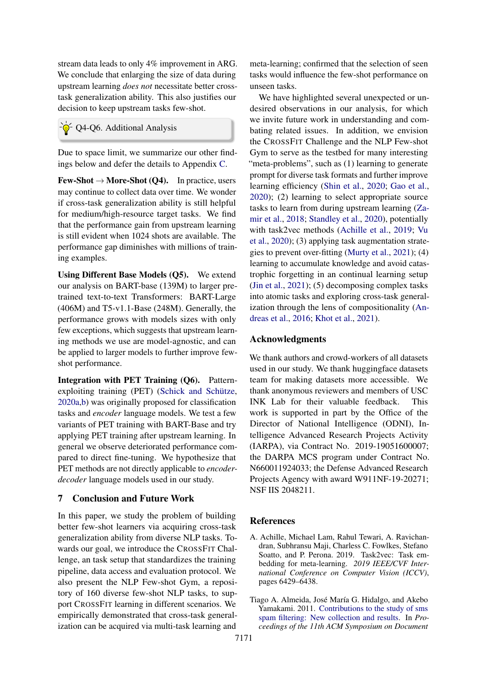stream data leads to only 4% improvement in ARG. We conclude that enlarging the size of data during upstream learning *does not* necessitate better crosstask generalization ability. This also justifies our decision to keep upstream tasks few-shot.

 $-\hat{\mathcal{Q}}$  Q4-Q6. Additional Analysis

Due to space limit, we summarize our other findings below and defer the details to Appendix [C.](#page-24-0)

 $Few-Short \rightarrow More-Short (Q4)$ . In practice, users may continue to collect data over time. We wonder if cross-task generalization ability is still helpful for medium/high-resource target tasks. We find that the performance gain from upstream learning is still evident when 1024 shots are available. The performance gap diminishes with millions of training examples.

Using Different Base Models (Q5). We extend our analysis on BART-base (139M) to larger pretrained text-to-text Transformers: BART-Large (406M) and T5-v1.1-Base (248M). Generally, the performance grows with models sizes with only few exceptions, which suggests that upstream learning methods we use are model-agnostic, and can be applied to larger models to further improve fewshot performance.

Integration with PET Training (Q6). Patternexploiting training (PET) [\(Schick and Schütze,](#page-15-1) [2020a,](#page-15-1)[b\)](#page-15-2) was originally proposed for classification tasks and *encoder* language models. We test a few variants of PET training with BART-Base and try applying PET training after upstream learning. In general we observe deteriorated performance compared to direct fine-tuning. We hypothesize that PET methods are not directly applicable to *encoderdecoder* language models used in our study.

## 7 Conclusion and Future Work

In this paper, we study the problem of building better few-shot learners via acquiring cross-task generalization ability from diverse NLP tasks. Towards our goal, we introduce the CROSSFIT Challenge, an task setup that standardizes the training pipeline, data access and evaluation protocol. We also present the NLP Few-shot Gym, a repository of 160 diverse few-shot NLP tasks, to support CROSSFIT learning in different scenarios. We empirically demonstrated that cross-task generalization can be acquired via multi-task learning and

meta-learning; confirmed that the selection of seen tasks would influence the few-shot performance on unseen tasks.

We have highlighted several unexpected or undesired observations in our analysis, for which we invite future work in understanding and combating related issues. In addition, we envision the CROSSFIT Challenge and the NLP Few-shot Gym to serve as the testbed for many interesting "meta-problems", such as (1) learning to generate prompt for diverse task formats and further improve learning efficiency [\(Shin et al.,](#page-15-3) [2020;](#page-15-3) [Gao et al.,](#page-11-0) [2020\)](#page-11-0); (2) learning to select appropriate source tasks to learn from during upstream learning [\(Za](#page-17-4)[mir et al.,](#page-17-4) [2018;](#page-17-4) [Standley et al.,](#page-15-4) [2020\)](#page-15-4), potentially with task2vec methods [\(Achille et al.,](#page-8-0) [2019;](#page-8-0) [Vu](#page-16-1) [et al.,](#page-16-1) [2020\)](#page-16-1); (3) applying task augmentation strategies to prevent over-fitting [\(Murty et al.,](#page-14-5) [2021\)](#page-14-5); (4) learning to accumulate knowledge and avoid catastrophic forgetting in an continual learning setup [\(Jin et al.,](#page-12-2) [2021\)](#page-12-2); (5) decomposing complex tasks into atomic tasks and exploring cross-task generalization through the lens of compositionality [\(An](#page-9-4)[dreas et al.,](#page-9-4) [2016;](#page-9-4) [Khot et al.,](#page-12-3) [2021\)](#page-12-3).

## Acknowledgments

We thank authors and crowd-workers of all datasets used in our study. We thank huggingface datasets team for making datasets more accessible. We thank anonymous reviewers and members of USC INK Lab for their valuable feedback. This work is supported in part by the Office of the Director of National Intelligence (ODNI), Intelligence Advanced Research Projects Activity (IARPA), via Contract No. 2019-19051600007; the DARPA MCS program under Contract No. N660011924033; the Defense Advanced Research Projects Agency with award W911NF-19-20271; NSF IIS 2048211.

### References

<span id="page-8-0"></span>A. Achille, Michael Lam, Rahul Tewari, A. Ravichandran, Subhransu Maji, Charless C. Fowlkes, Stefano Soatto, and P. Perona. 2019. Task2vec: Task embedding for meta-learning. *2019 IEEE/CVF International Conference on Computer Vision (ICCV)*, pages 6429–6438.

<span id="page-8-1"></span>Tiago A. Almeida, José María G. Hidalgo, and Akebo Yamakami. 2011. [Contributions to the study of sms](https://doi.org/10.1145/2034691.2034742) [spam filtering: New collection and results.](https://doi.org/10.1145/2034691.2034742) In *Proceedings of the 11th ACM Symposium on Document*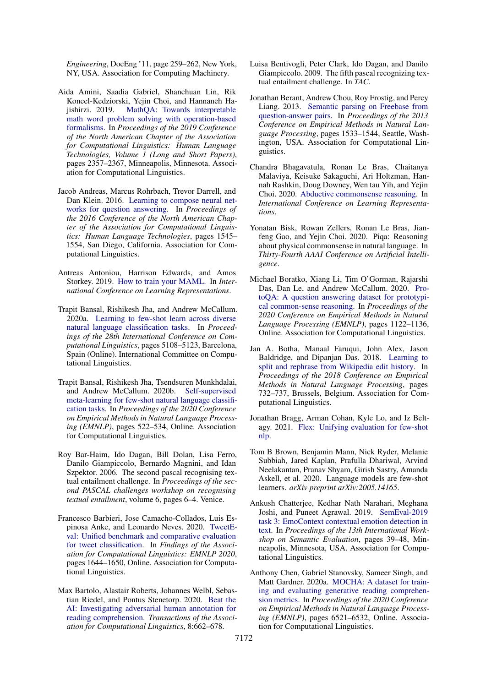*Engineering*, DocEng '11, page 259–262, New York, NY, USA. Association for Computing Machinery.

- <span id="page-9-10"></span>Aida Amini, Saadia Gabriel, Shanchuan Lin, Rik Koncel-Kedziorski, Yejin Choi, and Hannaneh Hajishirzi. 2019. [MathQA: Towards interpretable](https://doi.org/10.18653/v1/N19-1245) [math word problem solving with operation-based](https://doi.org/10.18653/v1/N19-1245) [formalisms.](https://doi.org/10.18653/v1/N19-1245) In *Proceedings of the 2019 Conference of the North American Chapter of the Association for Computational Linguistics: Human Language Technologies, Volume 1 (Long and Short Papers)*, pages 2357–2367, Minneapolis, Minnesota. Association for Computational Linguistics.
- <span id="page-9-4"></span>Jacob Andreas, Marcus Rohrbach, Trevor Darrell, and Dan Klein. 2016. [Learning to compose neural net](https://doi.org/10.18653/v1/N16-1181)[works for question answering.](https://doi.org/10.18653/v1/N16-1181) In *Proceedings of the 2016 Conference of the North American Chapter of the Association for Computational Linguistics: Human Language Technologies*, pages 1545– 1554, San Diego, California. Association for Computational Linguistics.
- <span id="page-9-3"></span>Antreas Antoniou, Harrison Edwards, and Amos Storkey. 2019. [How to train your MAML.](https://openreview.net/forum?id=HJGven05Y7) In *International Conference on Learning Representations*.
- <span id="page-9-0"></span>Trapit Bansal, Rishikesh Jha, and Andrew McCallum. 2020a. [Learning to few-shot learn across diverse](https://doi.org/10.18653/v1/2020.coling-main.448) [natural language classification tasks.](https://doi.org/10.18653/v1/2020.coling-main.448) In *Proceedings of the 28th International Conference on Computational Linguistics*, pages 5108–5123, Barcelona, Spain (Online). International Committee on Computational Linguistics.
- <span id="page-9-1"></span>Trapit Bansal, Rishikesh Jha, Tsendsuren Munkhdalai, and Andrew McCallum. 2020b. [Self-supervised](https://doi.org/10.18653/v1/2020.emnlp-main.38) [meta-learning for few-shot natural language classifi](https://doi.org/10.18653/v1/2020.emnlp-main.38)[cation tasks.](https://doi.org/10.18653/v1/2020.emnlp-main.38) In *Proceedings of the 2020 Conference on Empirical Methods in Natural Language Processing (EMNLP)*, pages 522–534, Online. Association for Computational Linguistics.
- <span id="page-9-8"></span>Roy Bar-Haim, Ido Dagan, Bill Dolan, Lisa Ferro, Danilo Giampiccolo, Bernardo Magnini, and Idan Szpektor. 2006. The second pascal recognising textual entailment challenge. In *Proceedings of the second PASCAL challenges workshop on recognising textual entailment*, volume 6, pages 6–4. Venice.
- <span id="page-9-14"></span>Francesco Barbieri, Jose Camacho-Collados, Luis Espinosa Anke, and Leonardo Neves. 2020. [TweetE](https://doi.org/10.18653/v1/2020.findings-emnlp.148)[val: Unified benchmark and comparative evaluation](https://doi.org/10.18653/v1/2020.findings-emnlp.148) [for tweet classification.](https://doi.org/10.18653/v1/2020.findings-emnlp.148) In *Findings of the Association for Computational Linguistics: EMNLP 2020*, pages 1644–1650, Online. Association for Computational Linguistics.
- <span id="page-9-5"></span>Max Bartolo, Alastair Roberts, Johannes Welbl, Sebastian Riedel, and Pontus Stenetorp. 2020. [Beat the](https://doi.org/10.1162/tacl_a_00338) [AI: Investigating adversarial human annotation for](https://doi.org/10.1162/tacl_a_00338) [reading comprehension.](https://doi.org/10.1162/tacl_a_00338) *Transactions of the Association for Computational Linguistics*, 8:662–678.
- <span id="page-9-9"></span>Luisa Bentivogli, Peter Clark, Ido Dagan, and Danilo Giampiccolo. 2009. The fifth pascal recognizing textual entailment challenge. In *TAC*.
- <span id="page-9-15"></span>Jonathan Berant, Andrew Chou, Roy Frostig, and Percy Liang. 2013. [Semantic parsing on Freebase from](https://www.aclweb.org/anthology/D13-1160) [question-answer pairs.](https://www.aclweb.org/anthology/D13-1160) In *Proceedings of the 2013 Conference on Empirical Methods in Natural Language Processing*, pages 1533–1544, Seattle, Washington, USA. Association for Computational Linguistics.
- <span id="page-9-6"></span>Chandra Bhagavatula, Ronan Le Bras, Chaitanya Malaviya, Keisuke Sakaguchi, Ari Holtzman, Hannah Rashkin, Doug Downey, Wen tau Yih, and Yejin Choi. 2020. [Abductive commonsense reasoning.](https://openreview.net/forum?id=Byg1v1HKDB) In *International Conference on Learning Representations*.
- <span id="page-9-12"></span>Yonatan Bisk, Rowan Zellers, Ronan Le Bras, Jianfeng Gao, and Yejin Choi. 2020. Piqa: Reasoning about physical commonsense in natural language. In *Thirty-Fourth AAAI Conference on Artificial Intelligence*.
- <span id="page-9-13"></span>Michael Boratko, Xiang Li, Tim O'Gorman, Rajarshi Das, Dan Le, and Andrew McCallum. 2020. [Pro](https://doi.org/10.18653/v1/2020.emnlp-main.85)[toQA: A question answering dataset for prototypi](https://doi.org/10.18653/v1/2020.emnlp-main.85)[cal common-sense reasoning.](https://doi.org/10.18653/v1/2020.emnlp-main.85) In *Proceedings of the 2020 Conference on Empirical Methods in Natural Language Processing (EMNLP)*, pages 1122–1136, Online. Association for Computational Linguistics.
- <span id="page-9-16"></span>Jan A. Botha, Manaal Faruqui, John Alex, Jason Baldridge, and Dipanjan Das. 2018. [Learning to](https://doi.org/10.18653/v1/D18-1080) [split and rephrase from Wikipedia edit history.](https://doi.org/10.18653/v1/D18-1080) In *Proceedings of the 2018 Conference on Empirical Methods in Natural Language Processing*, pages 732–737, Brussels, Belgium. Association for Computational Linguistics.
- <span id="page-9-2"></span>Jonathan Bragg, Arman Cohan, Kyle Lo, and Iz Beltagy. 2021. [Flex: Unifying evaluation for few-shot](http://arxiv.org/abs/2107.07170) [nlp.](http://arxiv.org/abs/2107.07170)
- <span id="page-9-17"></span>Tom B Brown, Benjamin Mann, Nick Ryder, Melanie Subbiah, Jared Kaplan, Prafulla Dhariwal, Arvind Neelakantan, Pranav Shyam, Girish Sastry, Amanda Askell, et al. 2020. Language models are few-shot learners. *arXiv preprint arXiv:2005.14165*.
- <span id="page-9-7"></span>Ankush Chatterjee, Kedhar Nath Narahari, Meghana Joshi, and Puneet Agrawal. 2019. [SemEval-2019](https://doi.org/10.18653/v1/S19-2005) [task 3: EmoContext contextual emotion detection in](https://doi.org/10.18653/v1/S19-2005) [text.](https://doi.org/10.18653/v1/S19-2005) In *Proceedings of the 13th International Workshop on Semantic Evaluation*, pages 39–48, Minneapolis, Minnesota, USA. Association for Computational Linguistics.
- <span id="page-9-11"></span>Anthony Chen, Gabriel Stanovsky, Sameer Singh, and Matt Gardner. 2020a. [MOCHA: A dataset for train](https://doi.org/10.18653/v1/2020.emnlp-main.528)[ing and evaluating generative reading comprehen](https://doi.org/10.18653/v1/2020.emnlp-main.528)[sion metrics.](https://doi.org/10.18653/v1/2020.emnlp-main.528) In *Proceedings of the 2020 Conference on Empirical Methods in Natural Language Processing (EMNLP)*, pages 6521–6532, Online. Association for Computational Linguistics.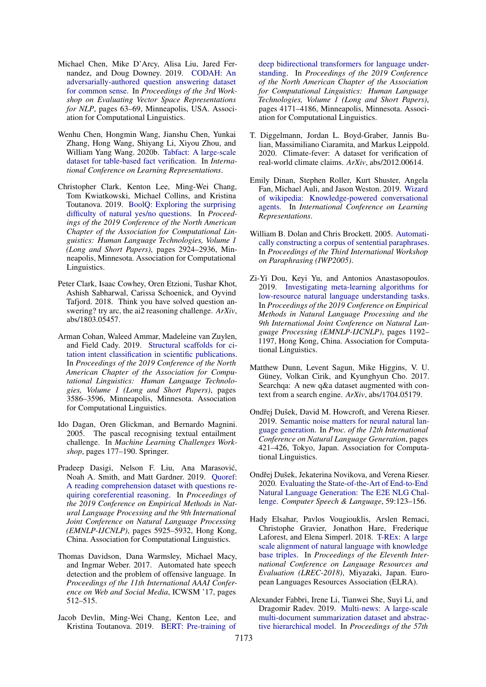- <span id="page-10-5"></span>Michael Chen, Mike D'Arcy, Alisa Liu, Jared Fernandez, and Doug Downey. 2019. [CODAH: An](https://doi.org/10.18653/v1/W19-2008) [adversarially-authored question answering dataset](https://doi.org/10.18653/v1/W19-2008) [for common sense.](https://doi.org/10.18653/v1/W19-2008) In *Proceedings of the 3rd Workshop on Evaluating Vector Space Representations for NLP*, pages 63–69, Minneapolis, USA. Association for Computational Linguistics.
- <span id="page-10-17"></span>Wenhu Chen, Hongmin Wang, Jianshu Chen, Yunkai Zhang, Hong Wang, Shiyang Li, Xiyou Zhou, and William Yang Wang. 2020b. [Tabfact: A large-scale](https://openreview.net/forum?id=rkeJRhNYDH) [dataset for table-based fact verification.](https://openreview.net/forum?id=rkeJRhNYDH) In *International Conference on Learning Representations*.
- <span id="page-10-3"></span>Christopher Clark, Kenton Lee, Ming-Wei Chang, Tom Kwiatkowski, Michael Collins, and Kristina Toutanova. 2019. [BoolQ: Exploring the surprising](https://doi.org/10.18653/v1/N19-1300) [difficulty of natural yes/no questions.](https://doi.org/10.18653/v1/N19-1300) In *Proceedings of the 2019 Conference of the North American Chapter of the Association for Computational Linguistics: Human Language Technologies, Volume 1 (Long and Short Papers)*, pages 2924–2936, Minneapolis, Minnesota. Association for Computational Linguistics.
- <span id="page-10-2"></span>Peter Clark, Isaac Cowhey, Oren Etzioni, Tushar Khot, Ashish Sabharwal, Carissa Schoenick, and Oyvind Tafjord. 2018. Think you have solved question answering? try arc, the ai2 reasoning challenge. *ArXiv*, abs/1803.05457.
- <span id="page-10-15"></span>Arman Cohan, Waleed Ammar, Madeleine van Zuylen, and Field Cady. 2019. [Structural scaffolds for ci](https://doi.org/10.18653/v1/N19-1361)[tation intent classification in scientific publications.](https://doi.org/10.18653/v1/N19-1361) In *Proceedings of the 2019 Conference of the North American Chapter of the Association for Computational Linguistics: Human Language Technologies, Volume 1 (Long and Short Papers)*, pages 3586–3596, Minneapolis, Minnesota. Association for Computational Linguistics.
- <span id="page-10-9"></span>Ido Dagan, Oren Glickman, and Bernardo Magnini. 2005. The pascal recognising textual entailment challenge. In *Machine Learning Challenges Workshop*, pages 177–190. Springer.
- <span id="page-10-14"></span>Pradeep Dasigi, Nelson F. Liu, Ana Marasovic,´ Noah A. Smith, and Matt Gardner. 2019. [Quoref:](https://doi.org/10.18653/v1/D19-1606) [A reading comprehension dataset with questions re](https://doi.org/10.18653/v1/D19-1606)[quiring coreferential reasoning.](https://doi.org/10.18653/v1/D19-1606) In *Proceedings of the 2019 Conference on Empirical Methods in Natural Language Processing and the 9th International Joint Conference on Natural Language Processing (EMNLP-IJCNLP)*, pages 5925–5932, Hong Kong, China. Association for Computational Linguistics.
- <span id="page-10-10"></span>Thomas Davidson, Dana Warmsley, Michael Macy, and Ingmar Weber. 2017. Automated hate speech detection and the problem of offensive language. In *Proceedings of the 11th International AAAI Conference on Web and Social Media*, ICWSM '17, pages 512–515.
- <span id="page-10-0"></span>Jacob Devlin, Ming-Wei Chang, Kenton Lee, and Kristina Toutanova. 2019. [BERT: Pre-training of](https://doi.org/10.18653/v1/N19-1423)

[deep bidirectional transformers for language under](https://doi.org/10.18653/v1/N19-1423)[standing.](https://doi.org/10.18653/v1/N19-1423) In *Proceedings of the 2019 Conference of the North American Chapter of the Association for Computational Linguistics: Human Language Technologies, Volume 1 (Long and Short Papers)*, pages 4171–4186, Minneapolis, Minnesota. Association for Computational Linguistics.

- <span id="page-10-4"></span>T. Diggelmann, Jordan L. Boyd-Graber, Jannis Bulian, Massimiliano Ciaramita, and Markus Leippold. 2020. Climate-fever: A dataset for verification of real-world climate claims. *ArXiv*, abs/2012.00614.
- <span id="page-10-12"></span>Emily Dinan, Stephen Roller, Kurt Shuster, Angela Fan, Michael Auli, and Jason Weston. 2019. [Wizard](https://openreview.net/forum?id=r1l73iRqKm) [of wikipedia: Knowledge-powered conversational](https://openreview.net/forum?id=r1l73iRqKm) [agents.](https://openreview.net/forum?id=r1l73iRqKm) In *International Conference on Learning Representations*.
- <span id="page-10-8"></span>William B. Dolan and Chris Brockett. 2005. [Automati](https://www.aclweb.org/anthology/I05-5002)[cally constructing a corpus of sentential paraphrases.](https://www.aclweb.org/anthology/I05-5002) In *Proceedings of the Third International Workshop on Paraphrasing (IWP2005)*.
- <span id="page-10-1"></span>Zi-Yi Dou, Keyi Yu, and Antonios Anastasopoulos. 2019. [Investigating meta-learning algorithms for](https://doi.org/10.18653/v1/D19-1112) [low-resource natural language understanding tasks.](https://doi.org/10.18653/v1/D19-1112) In *Proceedings of the 2019 Conference on Empirical Methods in Natural Language Processing and the 9th International Joint Conference on Natural Language Processing (EMNLP-IJCNLP)*, pages 1192– 1197, Hong Kong, China. Association for Computational Linguistics.
- <span id="page-10-16"></span>Matthew Dunn, Levent Sagun, Mike Higgins, V. U. Güney, Volkan Cirik, and Kyunghyun Cho. 2017. Searchqa: A new q&a dataset augmented with context from a search engine. *ArXiv*, abs/1704.05179.
- <span id="page-10-7"></span>Ondřej Dušek, David M. Howcroft, and Verena Rieser. 2019. [Semantic noise matters for neural natural lan](https://doi.org/10.18653/v1/W19-8652)[guage generation.](https://doi.org/10.18653/v1/W19-8652) In *Proc. of the 12th International Conference on Natural Language Generation*, pages 421–426, Tokyo, Japan. Association for Computational Linguistics.
- <span id="page-10-6"></span>Ondřej Dušek, Jekaterina Novikova, and Verena Rieser. 2020. [Evaluating the State-of-the-Art of End-to-End](https://doi.org/10.1016/j.csl.2019.06.009) [Natural Language Generation: The E2E NLG Chal](https://doi.org/10.1016/j.csl.2019.06.009)[lenge.](https://doi.org/10.1016/j.csl.2019.06.009) *Computer Speech & Language*, 59:123–156.
- <span id="page-10-11"></span>Hady Elsahar, Pavlos Vougiouklis, Arslen Remaci, Christophe Gravier, Jonathon Hare, Frederique Laforest, and Elena Simperl. 2018. [T-REx: A large](https://www.aclweb.org/anthology/L18-1544) [scale alignment of natural language with knowledge](https://www.aclweb.org/anthology/L18-1544) [base triples.](https://www.aclweb.org/anthology/L18-1544) In *Proceedings of the Eleventh International Conference on Language Resources and Evaluation (LREC-2018)*, Miyazaki, Japan. European Languages Resources Association (ELRA).
- <span id="page-10-13"></span>Alexander Fabbri, Irene Li, Tianwei She, Suyi Li, and Dragomir Radev. 2019. [Multi-news: A large-scale](https://doi.org/10.18653/v1/P19-1102) [multi-document summarization dataset and abstrac](https://doi.org/10.18653/v1/P19-1102)[tive hierarchical model.](https://doi.org/10.18653/v1/P19-1102) In *Proceedings of the 57th*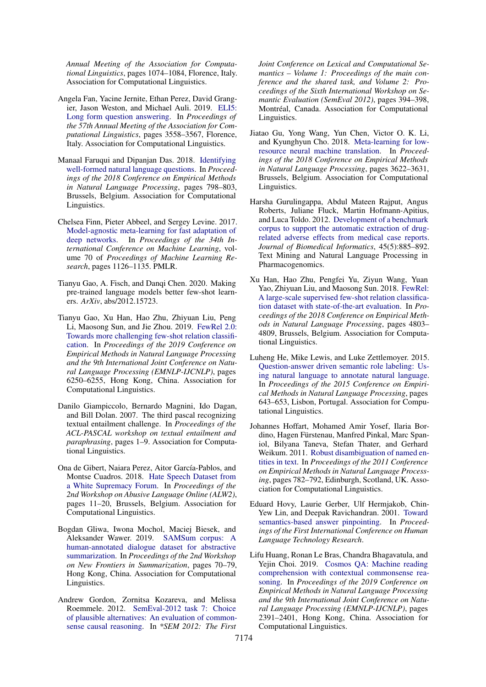*Annual Meeting of the Association for Computational Linguistics*, pages 1074–1084, Florence, Italy. Association for Computational Linguistics.

- <span id="page-11-7"></span>Angela Fan, Yacine Jernite, Ethan Perez, David Grangier, Jason Weston, and Michael Auli. 2019. [ELI5:](https://doi.org/10.18653/v1/P19-1346) [Long form question answering.](https://doi.org/10.18653/v1/P19-1346) In *Proceedings of the 57th Annual Meeting of the Association for Computational Linguistics*, pages 3558–3567, Florence, Italy. Association for Computational Linguistics.
- <span id="page-11-9"></span>Manaal Faruqui and Dipanjan Das. 2018. [Identifying](https://doi.org/10.18653/v1/D18-1091) [well-formed natural language questions.](https://doi.org/10.18653/v1/D18-1091) In *Proceedings of the 2018 Conference on Empirical Methods in Natural Language Processing*, pages 798–803, Brussels, Belgium. Association for Computational Linguistics.
- <span id="page-11-2"></span>Chelsea Finn, Pieter Abbeel, and Sergey Levine. 2017. [Model-agnostic meta-learning for fast adaptation of](http://proceedings.mlr.press/v70/finn17a.html) [deep networks.](http://proceedings.mlr.press/v70/finn17a.html) In *Proceedings of the 34th International Conference on Machine Learning*, volume 70 of *Proceedings of Machine Learning Research*, pages 1126–1135. PMLR.
- <span id="page-11-0"></span>Tianyu Gao, A. Fisch, and Danqi Chen. 2020. Making pre-trained language models better few-shot learners. *ArXiv*, abs/2012.15723.
- <span id="page-11-3"></span>Tianyu Gao, Xu Han, Hao Zhu, Zhiyuan Liu, Peng Li, Maosong Sun, and Jie Zhou. 2019. [FewRel 2.0:](https://doi.org/10.18653/v1/D19-1649) [Towards more challenging few-shot relation classifi](https://doi.org/10.18653/v1/D19-1649)[cation.](https://doi.org/10.18653/v1/D19-1649) In *Proceedings of the 2019 Conference on Empirical Methods in Natural Language Processing and the 9th International Joint Conference on Natural Language Processing (EMNLP-IJCNLP)*, pages 6250–6255, Hong Kong, China. Association for Computational Linguistics.
- <span id="page-11-8"></span>Danilo Giampiccolo, Bernardo Magnini, Ido Dagan, and Bill Dolan. 2007. The third pascal recognizing textual entailment challenge. In *Proceedings of the ACL-PASCAL workshop on textual entailment and paraphrasing*, pages 1–9. Association for Computational Linguistics.
- <span id="page-11-10"></span>Ona de Gibert, Naiara Perez, Aitor García-Pablos, and Montse Cuadros. 2018. [Hate Speech Dataset from](https://doi.org/10.18653/v1/W18-5102) [a White Supremacy Forum.](https://doi.org/10.18653/v1/W18-5102) In *Proceedings of the 2nd Workshop on Abusive Language Online (ALW2)*, pages 11–20, Brussels, Belgium. Association for Computational Linguistics.
- <span id="page-11-13"></span>Bogdan Gliwa, Iwona Mochol, Maciej Biesek, and Aleksander Wawer. 2019. [SAMSum corpus: A](https://doi.org/10.18653/v1/D19-5409) [human-annotated dialogue dataset for abstractive](https://doi.org/10.18653/v1/D19-5409) [summarization.](https://doi.org/10.18653/v1/D19-5409) In *Proceedings of the 2nd Workshop on New Frontiers in Summarization*, pages 70–79, Hong Kong, China. Association for Computational Linguistics.
- <span id="page-11-14"></span>Andrew Gordon, Zornitsa Kozareva, and Melissa Roemmele. 2012. [SemEval-2012 task 7: Choice](https://www.aclweb.org/anthology/S12-1052) [of plausible alternatives: An evaluation of common](https://www.aclweb.org/anthology/S12-1052)[sense causal reasoning.](https://www.aclweb.org/anthology/S12-1052) In *\*SEM 2012: The First*

*Joint Conference on Lexical and Computational Semantics – Volume 1: Proceedings of the main conference and the shared task, and Volume 2: Proceedings of the Sixth International Workshop on Semantic Evaluation (SemEval 2012)*, pages 394–398, Montréal, Canada. Association for Computational Linguistics.

- <span id="page-11-4"></span>Jiatao Gu, Yong Wang, Yun Chen, Victor O. K. Li, and Kyunghyun Cho. 2018. [Meta-learning for low](https://doi.org/10.18653/v1/D18-1398)[resource neural machine translation.](https://doi.org/10.18653/v1/D18-1398) In *Proceedings of the 2018 Conference on Empirical Methods in Natural Language Processing*, pages 3622–3631, Brussels, Belgium. Association for Computational Linguistics.
- <span id="page-11-5"></span>Harsha Gurulingappa, Abdul Mateen Rajput, Angus Roberts, Juliane Fluck, Martin Hofmann-Apitius, and Luca Toldo. 2012. [Development of a benchmark](https://doi.org/https://doi.org/10.1016/j.jbi.2012.04.008) [corpus to support the automatic extraction of drug](https://doi.org/https://doi.org/10.1016/j.jbi.2012.04.008)[related adverse effects from medical case reports.](https://doi.org/https://doi.org/10.1016/j.jbi.2012.04.008) *Journal of Biomedical Informatics*, 45(5):885–892. Text Mining and Natural Language Processing in Pharmacogenomics.
- <span id="page-11-1"></span>Xu Han, Hao Zhu, Pengfei Yu, Ziyun Wang, Yuan Yao, Zhiyuan Liu, and Maosong Sun. 2018. [FewRel:](https://doi.org/10.18653/v1/D18-1514) [A large-scale supervised few-shot relation classifica](https://doi.org/10.18653/v1/D18-1514)[tion dataset with state-of-the-art evaluation.](https://doi.org/10.18653/v1/D18-1514) In *Proceedings of the 2018 Conference on Empirical Methods in Natural Language Processing*, pages 4803– 4809, Brussels, Belgium. Association for Computational Linguistics.
- <span id="page-11-12"></span>Luheng He, Mike Lewis, and Luke Zettlemoyer. 2015. [Question-answer driven semantic role labeling: Us](https://doi.org/10.18653/v1/D15-1076)[ing natural language to annotate natural language.](https://doi.org/10.18653/v1/D15-1076) In *Proceedings of the 2015 Conference on Empirical Methods in Natural Language Processing*, pages 643–653, Lisbon, Portugal. Association for Computational Linguistics.
- <span id="page-11-11"></span>Johannes Hoffart, Mohamed Amir Yosef, Ilaria Bordino, Hagen Fürstenau, Manfred Pinkal, Marc Spaniol, Bilyana Taneva, Stefan Thater, and Gerhard Weikum. 2011. [Robust disambiguation of named en](https://www.aclweb.org/anthology/D11-1072)[tities in text.](https://www.aclweb.org/anthology/D11-1072) In *Proceedings of the 2011 Conference on Empirical Methods in Natural Language Processing*, pages 782–792, Edinburgh, Scotland, UK. Association for Computational Linguistics.
- <span id="page-11-15"></span>Eduard Hovy, Laurie Gerber, Ulf Hermjakob, Chin-Yew Lin, and Deepak Ravichandran. 2001. [Toward](https://www.aclweb.org/anthology/H01-1069) [semantics-based answer pinpointing.](https://www.aclweb.org/anthology/H01-1069) In *Proceedings of the First International Conference on Human Language Technology Research*.
- <span id="page-11-6"></span>Lifu Huang, Ronan Le Bras, Chandra Bhagavatula, and Yejin Choi. 2019. [Cosmos QA: Machine reading](https://doi.org/10.18653/v1/D19-1243) [comprehension with contextual commonsense rea](https://doi.org/10.18653/v1/D19-1243)[soning.](https://doi.org/10.18653/v1/D19-1243) In *Proceedings of the 2019 Conference on Empirical Methods in Natural Language Processing and the 9th International Joint Conference on Natural Language Processing (EMNLP-IJCNLP)*, pages 2391–2401, Hong Kong, China. Association for Computational Linguistics.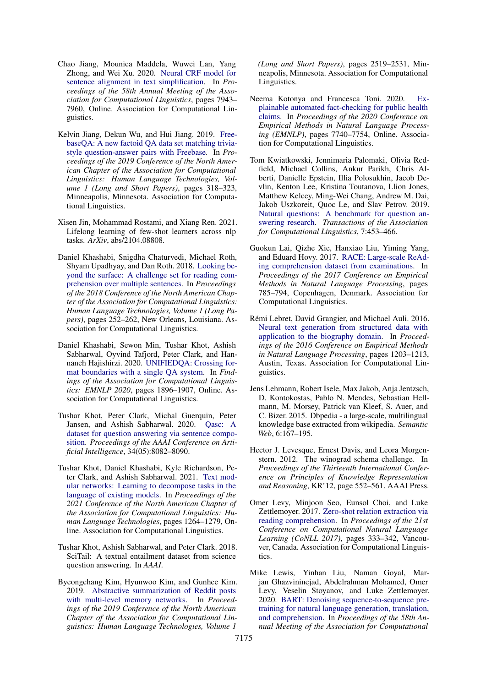- <span id="page-12-15"></span>Chao Jiang, Mounica Maddela, Wuwei Lan, Yang Zhong, and Wei Xu. 2020. [Neural CRF model for](https://doi.org/10.18653/v1/2020.acl-main.709) [sentence alignment in text simplification.](https://doi.org/10.18653/v1/2020.acl-main.709) In *Proceedings of the 58th Annual Meeting of the Association for Computational Linguistics*, pages 7943– 7960, Online. Association for Computational Linguistics.
- <span id="page-12-5"></span>Kelvin Jiang, Dekun Wu, and Hui Jiang. 2019. [Free](https://doi.org/10.18653/v1/N19-1028)[baseQA: A new factoid QA data set matching trivia](https://doi.org/10.18653/v1/N19-1028)[style question-answer pairs with Freebase.](https://doi.org/10.18653/v1/N19-1028) In *Proceedings of the 2019 Conference of the North American Chapter of the Association for Computational Linguistics: Human Language Technologies, Volume 1 (Long and Short Papers)*, pages 318–323, Minneapolis, Minnesota. Association for Computational Linguistics.
- <span id="page-12-2"></span>Xisen Jin, Mohammad Rostami, and Xiang Ren. 2021. Lifelong learning of few-shot learners across nlp tasks. *ArXiv*, abs/2104.08808.
- <span id="page-12-14"></span>Daniel Khashabi, Snigdha Chaturvedi, Michael Roth, Shyam Upadhyay, and Dan Roth. 2018. [Looking be](https://doi.org/10.18653/v1/N18-1023)[yond the surface: A challenge set for reading com](https://doi.org/10.18653/v1/N18-1023)[prehension over multiple sentences.](https://doi.org/10.18653/v1/N18-1023) In *Proceedings of the 2018 Conference of the North American Chapter of the Association for Computational Linguistics: Human Language Technologies, Volume 1 (Long Papers)*, pages 252–262, New Orleans, Louisiana. Association for Computational Linguistics.
- <span id="page-12-0"></span>Daniel Khashabi, Sewon Min, Tushar Khot, Ashish Sabharwal, Oyvind Tafjord, Peter Clark, and Hannaneh Hajishirzi. 2020. [UNIFIEDQA: Crossing for](https://doi.org/10.18653/v1/2020.findings-emnlp.171)[mat boundaries with a single QA system.](https://doi.org/10.18653/v1/2020.findings-emnlp.171) In *Findings of the Association for Computational Linguistics: EMNLP 2020*, pages 1896–1907, Online. Association for Computational Linguistics.
- <span id="page-12-10"></span>Tushar Khot, Peter Clark, Michal Guerquin, Peter Jansen, and Ashish Sabharwal. 2020. [Qasc: A](https://doi.org/10.1609/aaai.v34i05.6319) [dataset for question answering via sentence compo](https://doi.org/10.1609/aaai.v34i05.6319)[sition.](https://doi.org/10.1609/aaai.v34i05.6319) *Proceedings of the AAAI Conference on Artificial Intelligence*, 34(05):8082–8090.
- <span id="page-12-3"></span>Tushar Khot, Daniel Khashabi, Kyle Richardson, Peter Clark, and Ashish Sabharwal. 2021. [Text mod](https://doi.org/10.18653/v1/2021.naacl-main.99)[ular networks: Learning to decompose tasks in the](https://doi.org/10.18653/v1/2021.naacl-main.99) [language of existing models.](https://doi.org/10.18653/v1/2021.naacl-main.99) In *Proceedings of the 2021 Conference of the North American Chapter of the Association for Computational Linguistics: Human Language Technologies*, pages 1264–1279, Online. Association for Computational Linguistics.
- <span id="page-12-13"></span>Tushar Khot, Ashish Sabharwal, and Peter Clark. 2018. SciTail: A textual entailment dataset from science question answering. In *AAAI*.
- <span id="page-12-12"></span>Byeongchang Kim, Hyunwoo Kim, and Gunhee Kim. 2019. [Abstractive summarization of Reddit posts](https://doi.org/10.18653/v1/N19-1260) [with multi-level memory networks.](https://doi.org/10.18653/v1/N19-1260) In *Proceedings of the 2019 Conference of the North American Chapter of the Association for Computational Linguistics: Human Language Technologies, Volume 1*

*(Long and Short Papers)*, pages 2519–2531, Minneapolis, Minnesota. Association for Computational Linguistics.

- <span id="page-12-7"></span>Neema Kotonya and Francesca Toni. 2020. [Ex](https://doi.org/10.18653/v1/2020.emnlp-main.623)[plainable automated fact-checking for public health](https://doi.org/10.18653/v1/2020.emnlp-main.623) [claims.](https://doi.org/10.18653/v1/2020.emnlp-main.623) In *Proceedings of the 2020 Conference on Empirical Methods in Natural Language Processing (EMNLP)*, pages 7740–7754, Online. Association for Computational Linguistics.
- <span id="page-12-8"></span>Tom Kwiatkowski, Jennimaria Palomaki, Olivia Redfield, Michael Collins, Ankur Parikh, Chris Alberti, Danielle Epstein, Illia Polosukhin, Jacob Devlin, Kenton Lee, Kristina Toutanova, Llion Jones, Matthew Kelcey, Ming-Wei Chang, Andrew M. Dai, Jakob Uszkoreit, Quoc Le, and Slav Petrov. 2019. [Natural questions: A benchmark for question an](https://doi.org/10.1162/tacl_a_00276)[swering research.](https://doi.org/10.1162/tacl_a_00276) *Transactions of the Association for Computational Linguistics*, 7:453–466.
- <span id="page-12-11"></span>Guokun Lai, Qizhe Xie, Hanxiao Liu, Yiming Yang, and Eduard Hovy. 2017. [RACE: Large-scale ReAd](https://doi.org/10.18653/v1/D17-1082)[ing comprehension dataset from examinations.](https://doi.org/10.18653/v1/D17-1082) In *Proceedings of the 2017 Conference on Empirical Methods in Natural Language Processing*, pages 785–794, Copenhagen, Denmark. Association for Computational Linguistics.
- <span id="page-12-16"></span>Rémi Lebret, David Grangier, and Michael Auli. 2016. [Neural text generation from structured data with](https://doi.org/10.18653/v1/D16-1128) [application to the biography domain.](https://doi.org/10.18653/v1/D16-1128) In *Proceedings of the 2016 Conference on Empirical Methods in Natural Language Processing*, pages 1203–1213, Austin, Texas. Association for Computational Linguistics.
- <span id="page-12-4"></span>Jens Lehmann, Robert Isele, Max Jakob, Anja Jentzsch, D. Kontokostas, Pablo N. Mendes, Sebastian Hellmann, M. Morsey, Patrick van Kleef, S. Auer, and C. Bizer. 2015. Dbpedia - a large-scale, multilingual knowledge base extracted from wikipedia. *Semantic Web*, 6:167–195.
- <span id="page-12-6"></span>Hector J. Levesque, Ernest Davis, and Leora Morgenstern. 2012. The winograd schema challenge. In *Proceedings of the Thirteenth International Conference on Principles of Knowledge Representation and Reasoning*, KR'12, page 552–561. AAAI Press.
- <span id="page-12-9"></span>Omer Levy, Minjoon Seo, Eunsol Choi, and Luke Zettlemoyer. 2017. [Zero-shot relation extraction via](https://doi.org/10.18653/v1/K17-1034) [reading comprehension.](https://doi.org/10.18653/v1/K17-1034) In *Proceedings of the 21st Conference on Computational Natural Language Learning (CoNLL 2017)*, pages 333–342, Vancouver, Canada. Association for Computational Linguistics.
- <span id="page-12-1"></span>Mike Lewis, Yinhan Liu, Naman Goyal, Marjan Ghazvininejad, Abdelrahman Mohamed, Omer Levy, Veselin Stoyanov, and Luke Zettlemoyer. 2020. [BART: Denoising sequence-to-sequence pre](https://doi.org/10.18653/v1/2020.acl-main.703)[training for natural language generation, translation,](https://doi.org/10.18653/v1/2020.acl-main.703) [and comprehension.](https://doi.org/10.18653/v1/2020.acl-main.703) In *Proceedings of the 58th Annual Meeting of the Association for Computational*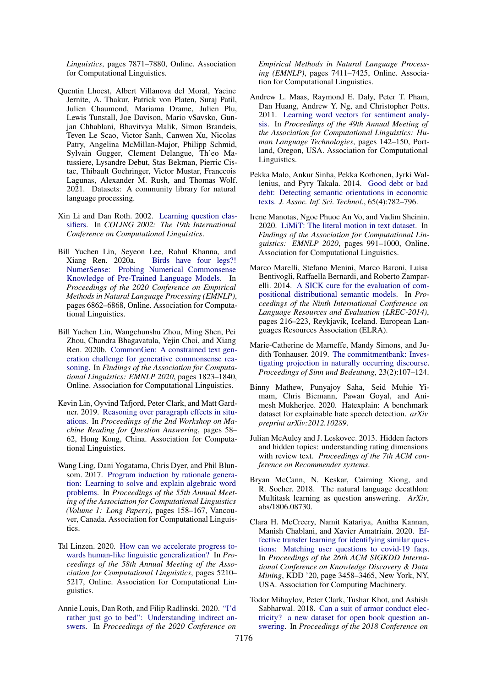*Linguistics*, pages 7871–7880, Online. Association for Computational Linguistics.

- <span id="page-13-2"></span>Quentin Lhoest, Albert Villanova del Moral, Yacine Jernite, A. Thakur, Patrick von Platen, Suraj Patil, Julien Chaumond, Mariama Drame, Julien Plu, Lewis Tunstall, Joe Davison, Mario vSavsko, Gunjan Chhablani, Bhavitvya Malik, Simon Brandeis, Teven Le Scao, Victor Sanh, Canwen Xu, Nicolas Patry, Angelina McMillan-Major, Philipp Schmid, Sylvain Gugger, Clement Delangue, Th'eo Matussiere, Lysandre Debut, Stas Bekman, Pierric Cistac, Thibault Goehringer, Victor Mustar, Franccois Lagunas, Alexander M. Rush, and Thomas Wolf. 2021. Datasets: A community library for natural language processing.
- <span id="page-13-17"></span>Xin Li and Dan Roth. 2002. [Learning question clas](https://www.aclweb.org/anthology/C02-1150)[sifiers.](https://www.aclweb.org/anthology/C02-1150) In *COLING 2002: The 19th International Conference on Computational Linguistics*.
- <span id="page-13-12"></span>Bill Yuchen Lin, Seyeon Lee, Rahul Khanna, and Xiang Ren. 2020a. [Birds have four legs?!](https://doi.org/10.18653/v1/2020.emnlp-main.557) [NumerSense: Probing Numerical Commonsense](https://doi.org/10.18653/v1/2020.emnlp-main.557) [Knowledge of Pre-Trained Language Models.](https://doi.org/10.18653/v1/2020.emnlp-main.557) In *Proceedings of the 2020 Conference on Empirical Methods in Natural Language Processing (EMNLP)*, pages 6862–6868, Online. Association for Computational Linguistics.
- <span id="page-13-6"></span>Bill Yuchen Lin, Wangchunshu Zhou, Ming Shen, Pei Zhou, Chandra Bhagavatula, Yejin Choi, and Xiang Ren. 2020b. [CommonGen: A constrained text gen](https://doi.org/10.18653/v1/2020.findings-emnlp.165)[eration challenge for generative commonsense rea](https://doi.org/10.18653/v1/2020.findings-emnlp.165)[soning.](https://doi.org/10.18653/v1/2020.findings-emnlp.165) In *Findings of the Association for Computational Linguistics: EMNLP 2020*, pages 1823–1840, Online. Association for Computational Linguistics.
- <span id="page-13-14"></span>Kevin Lin, Oyvind Tafjord, Peter Clark, and Matt Gardner. 2019. [Reasoning over paragraph effects in situ](https://doi.org/10.18653/v1/D19-5808)[ations.](https://doi.org/10.18653/v1/D19-5808) In *Proceedings of the 2nd Workshop on Machine Reading for Question Answering*, pages 58– 62, Hong Kong, China. Association for Computational Linguistics.
- <span id="page-13-4"></span>Wang Ling, Dani Yogatama, Chris Dyer, and Phil Blunsom. 2017. [Program induction by rationale genera](https://doi.org/10.18653/v1/P17-1015)[tion: Learning to solve and explain algebraic word](https://doi.org/10.18653/v1/P17-1015) [problems.](https://doi.org/10.18653/v1/P17-1015) In *Proceedings of the 55th Annual Meeting of the Association for Computational Linguistics (Volume 1: Long Papers)*, pages 158–167, Vancouver, Canada. Association for Computational Linguistics.
- <span id="page-13-0"></span>Tal Linzen. 2020. [How can we accelerate progress to](https://doi.org/10.18653/v1/2020.acl-main.465)[wards human-like linguistic generalization?](https://doi.org/10.18653/v1/2020.acl-main.465) In *Proceedings of the 58th Annual Meeting of the Association for Computational Linguistics*, pages 5210– 5217, Online. Association for Computational Linguistics.
- <span id="page-13-5"></span>Annie Louis, Dan Roth, and Filip Radlinski. 2020. ["I'd](https://doi.org/10.18653/v1/2020.emnlp-main.601) [rather just go to bed": Understanding indirect an](https://doi.org/10.18653/v1/2020.emnlp-main.601)[swers.](https://doi.org/10.18653/v1/2020.emnlp-main.601) In *Proceedings of the 2020 Conference on*

*Empirical Methods in Natural Language Processing (EMNLP)*, pages 7411–7425, Online. Association for Computational Linguistics.

- <span id="page-13-9"></span>Andrew L. Maas, Raymond E. Daly, Peter T. Pham, Dan Huang, Andrew Y. Ng, and Christopher Potts. 2011. [Learning word vectors for sentiment analy](https://www.aclweb.org/anthology/P11-1015)[sis.](https://www.aclweb.org/anthology/P11-1015) In *Proceedings of the 49th Annual Meeting of the Association for Computational Linguistics: Human Language Technologies*, pages 142–150, Portland, Oregon, USA. Association for Computational Linguistics.
- <span id="page-13-7"></span>Pekka Malo, Ankur Sinha, Pekka Korhonen, Jyrki Wallenius, and Pyry Takala. 2014. [Good debt or bad](https://doi.org/10.1002/asi.23062) [debt: Detecting semantic orientations in economic](https://doi.org/10.1002/asi.23062) [texts.](https://doi.org/10.1002/asi.23062) *J. Assoc. Inf. Sci. Technol.*, 65(4):782–796.
- <span id="page-13-10"></span>Irene Manotas, Ngoc Phuoc An Vo, and Vadim Sheinin. 2020. [LiMiT: The literal motion in text dataset.](https://doi.org/10.18653/v1/2020.findings-emnlp.88) In *Findings of the Association for Computational Linguistics: EMNLP 2020*, pages 991–1000, Online. Association for Computational Linguistics.
- <span id="page-13-15"></span>Marco Marelli, Stefano Menini, Marco Baroni, Luisa Bentivogli, Raffaella Bernardi, and Roberto Zamparelli. 2014. [A SICK cure for the evaluation of com](http://www.lrec-conf.org/proceedings/lrec2014/pdf/363_Paper.pdf)[positional distributional semantic models.](http://www.lrec-conf.org/proceedings/lrec2014/pdf/363_Paper.pdf) In *Proceedings of the Ninth International Conference on Language Resources and Evaluation (LREC-2014)*, pages 216–223, Reykjavik, Iceland. European Languages Resources Association (ELRA).
- <span id="page-13-16"></span>Marie-Catherine de Marneffe, Mandy Simons, and Judith Tonhauser. 2019. [The commitmentbank: Inves](https://doi.org/10.18148/sub/2019.v23i2.601)[tigating projection in naturally occurring discourse.](https://doi.org/10.18148/sub/2019.v23i2.601) *Proceedings of Sinn und Bedeutung*, 23(2):107–124.
- <span id="page-13-8"></span>Binny Mathew, Punyajoy Saha, Seid Muhie Yimam, Chris Biemann, Pawan Goyal, and Animesh Mukherjee. 2020. Hatexplain: A benchmark dataset for explainable hate speech detection. *arXiv preprint arXiv:2012.10289*.
- <span id="page-13-3"></span>Julian McAuley and J. Leskovec. 2013. Hidden factors and hidden topics: understanding rating dimensions with review text. *Proceedings of the 7th ACM conference on Recommender systems*.
- <span id="page-13-1"></span>Bryan McCann, N. Keskar, Caiming Xiong, and R. Socher. 2018. The natural language decathlon: Multitask learning as question answering. *ArXiv*, abs/1806.08730.
- <span id="page-13-11"></span>Clara H. McCreery, Namit Katariya, Anitha Kannan, Manish Chablani, and Xavier Amatriain. 2020. [Ef](https://doi.org/10.1145/3394486.3412861)[fective transfer learning for identifying similar ques](https://doi.org/10.1145/3394486.3412861)[tions: Matching user questions to covid-19 faqs.](https://doi.org/10.1145/3394486.3412861) In *Proceedings of the 26th ACM SIGKDD International Conference on Knowledge Discovery & Data Mining*, KDD '20, page 3458–3465, New York, NY, USA. Association for Computing Machinery.
- <span id="page-13-13"></span>Todor Mihaylov, Peter Clark, Tushar Khot, and Ashish Sabharwal. 2018. [Can a suit of armor conduct elec](https://doi.org/10.18653/v1/D18-1260)[tricity? a new dataset for open book question an](https://doi.org/10.18653/v1/D18-1260)[swering.](https://doi.org/10.18653/v1/D18-1260) In *Proceedings of the 2018 Conference on*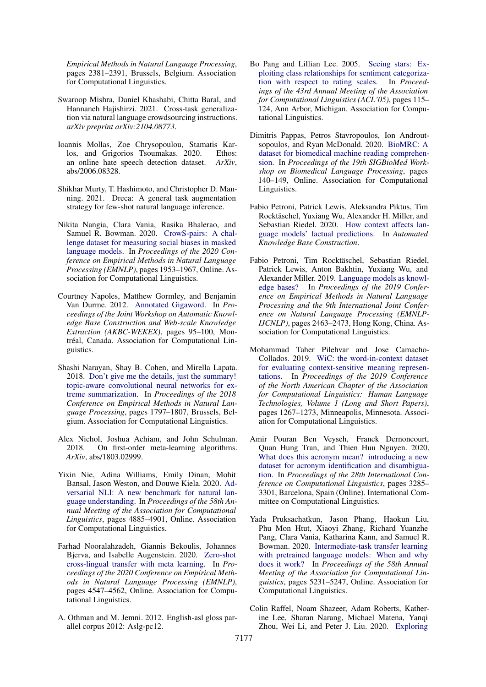*Empirical Methods in Natural Language Processing*, pages 2381–2391, Brussels, Belgium. Association for Computational Linguistics.

- <span id="page-14-3"></span>Swaroop Mishra, Daniel Khashabi, Chitta Baral, and Hannaneh Hajishirzi. 2021. Cross-task generalization via natural language crowdsourcing instructions. *arXiv preprint arXiv:2104.08773*.
- <span id="page-14-11"></span>Ioannis Mollas, Zoe Chrysopoulou, Stamatis Karlos, and Grigorios Tsoumakas. 2020. Ethos: an online hate speech detection dataset. *ArXiv*, abs/2006.08328.
- <span id="page-14-5"></span>Shikhar Murty, T. Hashimoto, and Christopher D. Manning. 2021. Dreca: A general task augmentation strategy for few-shot natural language inference.
- <span id="page-14-10"></span>Nikita Nangia, Clara Vania, Rasika Bhalerao, and Samuel R. Bowman. 2020. [CrowS-pairs: A chal](https://doi.org/10.18653/v1/2020.emnlp-main.154)[lenge dataset for measuring social biases in masked](https://doi.org/10.18653/v1/2020.emnlp-main.154) [language models.](https://doi.org/10.18653/v1/2020.emnlp-main.154) In *Proceedings of the 2020 Conference on Empirical Methods in Natural Language Processing (EMNLP)*, pages 1953–1967, Online. Association for Computational Linguistics.
- <span id="page-14-12"></span>Courtney Napoles, Matthew Gormley, and Benjamin Van Durme. 2012. [Annotated Gigaword.](https://www.aclweb.org/anthology/W12-3018) In *Proceedings of the Joint Workshop on Automatic Knowledge Base Construction and Web-scale Knowledge Extraction (AKBC-WEKEX)*, pages 95–100, Montréal, Canada. Association for Computational Linguistics.
- <span id="page-14-17"></span>Shashi Narayan, Shay B. Cohen, and Mirella Lapata. 2018. [Don't give me the details, just the summary!](https://doi.org/10.18653/v1/D18-1206) [topic-aware convolutional neural networks for ex](https://doi.org/10.18653/v1/D18-1206)[treme summarization.](https://doi.org/10.18653/v1/D18-1206) In *Proceedings of the 2018 Conference on Empirical Methods in Natural Language Processing*, pages 1797–1807, Brussels, Belgium. Association for Computational Linguistics.
- <span id="page-14-1"></span>Alex Nichol, Joshua Achiam, and John Schulman. 2018. On first-order meta-learning algorithms. *ArXiv*, abs/1803.02999.
- <span id="page-14-7"></span>Yixin Nie, Adina Williams, Emily Dinan, Mohit Bansal, Jason Weston, and Douwe Kiela. 2020. [Ad](https://doi.org/10.18653/v1/2020.acl-main.441)[versarial NLI: A new benchmark for natural lan](https://doi.org/10.18653/v1/2020.acl-main.441)[guage understanding.](https://doi.org/10.18653/v1/2020.acl-main.441) In *Proceedings of the 58th Annual Meeting of the Association for Computational Linguistics*, pages 4885–4901, Online. Association for Computational Linguistics.
- <span id="page-14-2"></span>Farhad Nooralahzadeh, Giannis Bekoulis, Johannes Bjerva, and Isabelle Augenstein. 2020. [Zero-shot](https://doi.org/10.18653/v1/2020.emnlp-main.368) [cross-lingual transfer with meta learning.](https://doi.org/10.18653/v1/2020.emnlp-main.368) In *Proceedings of the 2020 Conference on Empirical Methods in Natural Language Processing (EMNLP)*, pages 4547–4562, Online. Association for Computational Linguistics.
- <span id="page-14-8"></span>A. Othman and M. Jemni. 2012. English-asl gloss parallel corpus 2012: Aslg-pc12.
- <span id="page-14-15"></span>Bo Pang and Lillian Lee. 2005. [Seeing stars: Ex](https://doi.org/10.3115/1219840.1219855)[ploiting class relationships for sentiment categoriza](https://doi.org/10.3115/1219840.1219855)[tion with respect to rating scales.](https://doi.org/10.3115/1219840.1219855) In *Proceedings of the 43rd Annual Meeting of the Association for Computational Linguistics (ACL'05)*, pages 115– 124, Ann Arbor, Michigan. Association for Computational Linguistics.
- <span id="page-14-9"></span>Dimitris Pappas, Petros Stavropoulos, Ion Androutsopoulos, and Ryan McDonald. 2020. [BioMRC: A](https://www.aclweb.org/anthology/2020.bionlp-1.15) [dataset for biomedical machine reading comprehen](https://www.aclweb.org/anthology/2020.bionlp-1.15)[sion.](https://www.aclweb.org/anthology/2020.bionlp-1.15) In *Proceedings of the 19th SIGBioMed Workshop on Biomedical Language Processing*, pages 140–149, Online. Association for Computational Linguistics.
- <span id="page-14-14"></span>Fabio Petroni, Patrick Lewis, Aleksandra Piktus, Tim Rocktäschel, Yuxiang Wu, Alexander H. Miller, and Sebastian Riedel. 2020. [How context affects lan](https://openreview.net/forum?id=025X0zPfn)[guage models' factual predictions.](https://openreview.net/forum?id=025X0zPfn) In *Automated Knowledge Base Construction*.
- <span id="page-14-13"></span>Fabio Petroni, Tim Rocktäschel, Sebastian Riedel, Patrick Lewis, Anton Bakhtin, Yuxiang Wu, and Alexander Miller. 2019. [Language models as knowl](https://doi.org/10.18653/v1/D19-1250)[edge bases?](https://doi.org/10.18653/v1/D19-1250) In *Proceedings of the 2019 Conference on Empirical Methods in Natural Language Processing and the 9th International Joint Conference on Natural Language Processing (EMNLP-IJCNLP)*, pages 2463–2473, Hong Kong, China. Association for Computational Linguistics.
- <span id="page-14-16"></span>Mohammad Taher Pilehvar and Jose Camacho-Collados. 2019. [WiC: the word-in-context dataset](https://doi.org/10.18653/v1/N19-1128) [for evaluating context-sensitive meaning represen](https://doi.org/10.18653/v1/N19-1128)[tations.](https://doi.org/10.18653/v1/N19-1128) In *Proceedings of the 2019 Conference of the North American Chapter of the Association for Computational Linguistics: Human Language Technologies, Volume 1 (Long and Short Papers)*, pages 1267–1273, Minneapolis, Minnesota. Association for Computational Linguistics.
- <span id="page-14-6"></span>Amir Pouran Ben Veyseh, Franck Dernoncourt, Quan Hung Tran, and Thien Huu Nguyen. 2020. [What does this acronym mean? introducing a new](https://doi.org/10.18653/v1/2020.coling-main.292) [dataset for acronym identification and disambigua](https://doi.org/10.18653/v1/2020.coling-main.292)[tion.](https://doi.org/10.18653/v1/2020.coling-main.292) In *Proceedings of the 28th International Conference on Computational Linguistics*, pages 3285– 3301, Barcelona, Spain (Online). International Committee on Computational Linguistics.
- <span id="page-14-0"></span>Yada Pruksachatkun, Jason Phang, Haokun Liu, Phu Mon Htut, Xiaoyi Zhang, Richard Yuanzhe Pang, Clara Vania, Katharina Kann, and Samuel R. Bowman. 2020. [Intermediate-task transfer learning](https://doi.org/10.18653/v1/2020.acl-main.467) [with pretrained language models: When and why](https://doi.org/10.18653/v1/2020.acl-main.467) [does it work?](https://doi.org/10.18653/v1/2020.acl-main.467) In *Proceedings of the 58th Annual Meeting of the Association for Computational Linguistics*, pages 5231–5247, Online. Association for Computational Linguistics.
- <span id="page-14-4"></span>Colin Raffel, Noam Shazeer, Adam Roberts, Katherine Lee, Sharan Narang, Michael Matena, Yanqi Zhou, Wei Li, and Peter J. Liu. 2020. [Exploring](http://jmlr.org/papers/v21/20-074.html)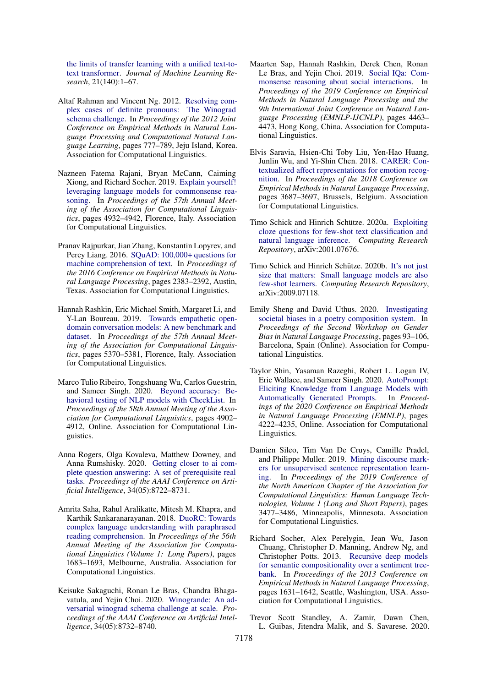[the limits of transfer learning with a unified text-to](http://jmlr.org/papers/v21/20-074.html)[text transformer.](http://jmlr.org/papers/v21/20-074.html) *Journal of Machine Learning Research*, 21(140):1–67.

- <span id="page-15-6"></span>Altaf Rahman and Vincent Ng. 2012. [Resolving com](https://www.aclweb.org/anthology/D12-1071)[plex cases of definite pronouns: The Winograd](https://www.aclweb.org/anthology/D12-1071) [schema challenge.](https://www.aclweb.org/anthology/D12-1071) In *Proceedings of the 2012 Joint Conference on Empirical Methods in Natural Language Processing and Computational Natural Language Learning*, pages 777–789, Jeju Island, Korea. Association for Computational Linguistics.
- <span id="page-15-5"></span>Nazneen Fatema Rajani, Bryan McCann, Caiming Xiong, and Richard Socher. 2019. [Explain yourself!](https://doi.org/10.18653/v1/P19-1487) [leveraging language models for commonsense rea](https://doi.org/10.18653/v1/P19-1487)[soning.](https://doi.org/10.18653/v1/P19-1487) In *Proceedings of the 57th Annual Meeting of the Association for Computational Linguistics*, pages 4932–4942, Florence, Italy. Association for Computational Linguistics.
- <span id="page-15-11"></span>Pranav Rajpurkar, Jian Zhang, Konstantin Lopyrev, and Percy Liang. 2016. [SQuAD: 100,000+ questions for](https://doi.org/10.18653/v1/D16-1264) [machine comprehension of text.](https://doi.org/10.18653/v1/D16-1264) In *Proceedings of the 2016 Conference on Empirical Methods in Natural Language Processing*, pages 2383–2392, Austin, Texas. Association for Computational Linguistics.
- <span id="page-15-10"></span>Hannah Rashkin, Eric Michael Smith, Margaret Li, and Y-Lan Boureau. 2019. [Towards empathetic open](https://doi.org/10.18653/v1/P19-1534)[domain conversation models: A new benchmark and](https://doi.org/10.18653/v1/P19-1534) [dataset.](https://doi.org/10.18653/v1/P19-1534) In *Proceedings of the 57th Annual Meeting of the Association for Computational Linguistics*, pages 5370–5381, Florence, Italy. Association for Computational Linguistics.
- <span id="page-15-0"></span>Marco Tulio Ribeiro, Tongshuang Wu, Carlos Guestrin, and Sameer Singh. 2020. [Beyond accuracy: Be](https://doi.org/10.18653/v1/2020.acl-main.442)[havioral testing of NLP models with CheckList.](https://doi.org/10.18653/v1/2020.acl-main.442) In *Proceedings of the 58th Annual Meeting of the Association for Computational Linguistics*, pages 4902– 4912, Online. Association for Computational Linguistics.
- <span id="page-15-14"></span>Anna Rogers, Olga Kovaleva, Matthew Downey, and Anna Rumshisky. 2020. [Getting closer to ai com](https://doi.org/10.1609/aaai.v34i05.6398)[plete question answering: A set of prerequisite real](https://doi.org/10.1609/aaai.v34i05.6398) [tasks.](https://doi.org/10.1609/aaai.v34i05.6398) *Proceedings of the AAAI Conference on Artificial Intelligence*, 34(05):8722–8731.
- <span id="page-15-8"></span>Amrita Saha, Rahul Aralikatte, Mitesh M. Khapra, and Karthik Sankaranarayanan. 2018. [DuoRC: Towards](https://doi.org/10.18653/v1/P18-1156) [complex language understanding with paraphrased](https://doi.org/10.18653/v1/P18-1156) [reading comprehension.](https://doi.org/10.18653/v1/P18-1156) In *Proceedings of the 56th Annual Meeting of the Association for Computational Linguistics (Volume 1: Long Papers)*, pages 1683–1693, Melbourne, Australia. Association for Computational Linguistics.
- <span id="page-15-16"></span>Keisuke Sakaguchi, Ronan Le Bras, Chandra Bhagavatula, and Yejin Choi. 2020. [Winogrande: An ad](https://doi.org/10.1609/aaai.v34i05.6399)[versarial winograd schema challenge at scale.](https://doi.org/10.1609/aaai.v34i05.6399) *Proceedings of the AAAI Conference on Artificial Intelligence*, 34(05):8732–8740.
- <span id="page-15-15"></span>Maarten Sap, Hannah Rashkin, Derek Chen, Ronan Le Bras, and Yejin Choi. 2019. [Social IQa: Com](https://doi.org/10.18653/v1/D19-1454)[monsense reasoning about social interactions.](https://doi.org/10.18653/v1/D19-1454) In *Proceedings of the 2019 Conference on Empirical Methods in Natural Language Processing and the 9th International Joint Conference on Natural Language Processing (EMNLP-IJCNLP)*, pages 4463– 4473, Hong Kong, China. Association for Computational Linguistics.
- <span id="page-15-9"></span>Elvis Saravia, Hsien-Chi Toby Liu, Yen-Hao Huang, Junlin Wu, and Yi-Shin Chen. 2018. [CARER: Con](https://doi.org/10.18653/v1/D18-1404)[textualized affect representations for emotion recog](https://doi.org/10.18653/v1/D18-1404)[nition.](https://doi.org/10.18653/v1/D18-1404) In *Proceedings of the 2018 Conference on Empirical Methods in Natural Language Processing*, pages 3687–3697, Brussels, Belgium. Association for Computational Linguistics.
- <span id="page-15-1"></span>Timo Schick and Hinrich Schütze. 2020a. [Exploiting](http://arxiv.org/abs/2001.07676) [cloze questions for few-shot text classification and](http://arxiv.org/abs/2001.07676) [natural language inference.](http://arxiv.org/abs/2001.07676) *Computing Research Repository*, arXiv:2001.07676.
- <span id="page-15-2"></span>Timo Schick and Hinrich Schütze. 2020b. [It's not just](http://arxiv.org/abs/2009.07118) [size that matters: Small language models are also](http://arxiv.org/abs/2009.07118) [few-shot learners.](http://arxiv.org/abs/2009.07118) *Computing Research Repository*, arXiv:2009.07118.
- <span id="page-15-13"></span>Emily Sheng and David Uthus. 2020. [Investigating](https://www.aclweb.org/anthology/2020.gebnlp-1.9) [societal biases in a poetry composition system.](https://www.aclweb.org/anthology/2020.gebnlp-1.9) In *Proceedings of the Second Workshop on Gender Bias in Natural Language Processing*, pages 93–106, Barcelona, Spain (Online). Association for Computational Linguistics.
- <span id="page-15-3"></span>Taylor Shin, Yasaman Razeghi, Robert L. Logan IV, Eric Wallace, and Sameer Singh. 2020. [AutoPrompt:](https://doi.org/10.18653/v1/2020.emnlp-main.346) [Eliciting Knowledge from Language Models with](https://doi.org/10.18653/v1/2020.emnlp-main.346) [Automatically Generated Prompts.](https://doi.org/10.18653/v1/2020.emnlp-main.346) In *Proceedings of the 2020 Conference on Empirical Methods in Natural Language Processing (EMNLP)*, pages 4222–4235, Online. Association for Computational Linguistics.
- <span id="page-15-7"></span>Damien Sileo, Tim Van De Cruys, Camille Pradel, and Philippe Muller. 2019. [Mining discourse mark](https://doi.org/10.18653/v1/N19-1351)[ers for unsupervised sentence representation learn](https://doi.org/10.18653/v1/N19-1351)[ing.](https://doi.org/10.18653/v1/N19-1351) In *Proceedings of the 2019 Conference of the North American Chapter of the Association for Computational Linguistics: Human Language Technologies, Volume 1 (Long and Short Papers)*, pages 3477–3486, Minneapolis, Minnesota. Association for Computational Linguistics.
- <span id="page-15-12"></span>Richard Socher, Alex Perelygin, Jean Wu, Jason Chuang, Christopher D. Manning, Andrew Ng, and Christopher Potts. 2013. [Recursive deep models](https://www.aclweb.org/anthology/D13-1170) [for semantic compositionality over a sentiment tree](https://www.aclweb.org/anthology/D13-1170)[bank.](https://www.aclweb.org/anthology/D13-1170) In *Proceedings of the 2013 Conference on Empirical Methods in Natural Language Processing*, pages 1631–1642, Seattle, Washington, USA. Association for Computational Linguistics.
- <span id="page-15-4"></span>Trevor Scott Standley, A. Zamir, Dawn Chen, L. Guibas, Jitendra Malik, and S. Savarese. 2020.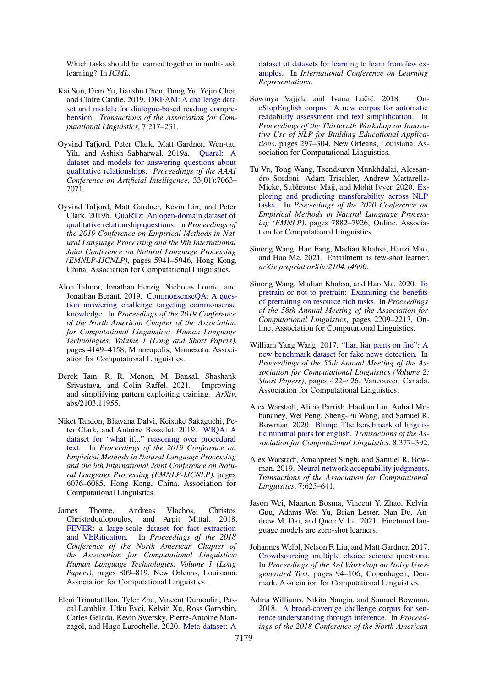Which tasks should be learned together in multi-task learning? In *ICML*.

- <span id="page-16-7"></span>Kai Sun, Dian Yu, Jianshu Chen, Dong Yu, Yejin Choi, and Claire Cardie. 2019. [DREAM: A challenge data](https://doi.org/10.1162/tacl_a_00264) [set and models for dialogue-based reading compre](https://doi.org/10.1162/tacl_a_00264)[hension.](https://doi.org/10.1162/tacl_a_00264) *Transactions of the Association for Computational Linguistics*, 7:217–231.
- <span id="page-16-13"></span>Oyvind Tafjord, Peter Clark, Matt Gardner, Wen-tau Yih, and Ashish Sabharwal. 2019a. [Quarel: A](https://doi.org/10.1609/aaai.v33i01.33017063) [dataset and models for answering questions about](https://doi.org/10.1609/aaai.v33i01.33017063) [qualitative relationships.](https://doi.org/10.1609/aaai.v33i01.33017063) *Proceedings of the AAAI Conference on Artificial Intelligence*, 33(01):7063– 7071.
- <span id="page-16-14"></span>Oyvind Tafjord, Matt Gardner, Kevin Lin, and Peter Clark. 2019b. [QuaRTz: An open-domain dataset of](https://doi.org/10.18653/v1/D19-1608) [qualitative relationship questions.](https://doi.org/10.18653/v1/D19-1608) In *Proceedings of the 2019 Conference on Empirical Methods in Natural Language Processing and the 9th International Joint Conference on Natural Language Processing (EMNLP-IJCNLP)*, pages 5941–5946, Hong Kong, China. Association for Computational Linguistics.
- <span id="page-16-6"></span>Alon Talmor, Jonathan Herzig, Nicholas Lourie, and Jonathan Berant. 2019. [CommonsenseQA: A ques](https://doi.org/10.18653/v1/N19-1421)[tion answering challenge targeting commonsense](https://doi.org/10.18653/v1/N19-1421) [knowledge.](https://doi.org/10.18653/v1/N19-1421) In *Proceedings of the 2019 Conference of the North American Chapter of the Association for Computational Linguistics: Human Language Technologies, Volume 1 (Long and Short Papers)*, pages 4149–4158, Minneapolis, Minnesota. Association for Computational Linguistics.
- <span id="page-16-2"></span>Derek Tam, R. R. Menon, M. Bansal, Shashank Srivastava, and Colin Raffel. 2021. Improving and simplifying pattern exploiting training. *ArXiv*, abs/2103.11955.
- <span id="page-16-16"></span>Niket Tandon, Bhavana Dalvi, Keisuke Sakaguchi, Peter Clark, and Antoine Bosselut. 2019. [WIQA: A](https://doi.org/10.18653/v1/D19-1629) [dataset for "what if..." reasoning over procedural](https://doi.org/10.18653/v1/D19-1629) [text.](https://doi.org/10.18653/v1/D19-1629) In *Proceedings of the 2019 Conference on Empirical Methods in Natural Language Processing and the 9th International Joint Conference on Natural Language Processing (EMNLP-IJCNLP)*, pages 6076–6085, Hong Kong, China. Association for Computational Linguistics.
- <span id="page-16-10"></span>James Thorne, Andreas Vlachos, Christos Christodoulopoulos, and Arpit Mittal. 2018. [FEVER: a large-scale dataset for fact extraction](https://doi.org/10.18653/v1/N18-1074) [and VERification.](https://doi.org/10.18653/v1/N18-1074) In *Proceedings of the 2018 Conference of the North American Chapter of the Association for Computational Linguistics: Human Language Technologies, Volume 1 (Long Papers)*, pages 809–819, New Orleans, Louisiana. Association for Computational Linguistics.
- <span id="page-16-0"></span>Eleni Triantafillou, Tyler Zhu, Vincent Dumoulin, Pascal Lamblin, Utku Evci, Kelvin Xu, Ross Goroshin, Carles Gelada, Kevin Swersky, Pierre-Antoine Manzagol, and Hugo Larochelle. 2020. [Meta-dataset: A](https://openreview.net/forum?id=rkgAGAVKPr)

[dataset of datasets for learning to learn from few ex](https://openreview.net/forum?id=rkgAGAVKPr)[amples.](https://openreview.net/forum?id=rkgAGAVKPr) In *International Conference on Learning Representations*.

- <span id="page-16-12"></span>Sowmya Vajjala and Ivana Lučić. 2018. [On](https://doi.org/10.18653/v1/W18-0535)[eStopEnglish corpus: A new corpus for automatic](https://doi.org/10.18653/v1/W18-0535) [readability assessment and text simplification.](https://doi.org/10.18653/v1/W18-0535) In *Proceedings of the Thirteenth Workshop on Innovative Use of NLP for Building Educational Applications*, pages 297–304, New Orleans, Louisiana. Association for Computational Linguistics.
- <span id="page-16-1"></span>Tu Vu, Tong Wang, Tsendsuren Munkhdalai, Alessandro Sordoni, Adam Trischler, Andrew Mattarella-Micke, Subhransu Maji, and Mohit Iyyer. 2020. [Ex](https://doi.org/10.18653/v1/2020.emnlp-main.635)[ploring and predicting transferability across NLP](https://doi.org/10.18653/v1/2020.emnlp-main.635) [tasks.](https://doi.org/10.18653/v1/2020.emnlp-main.635) In *Proceedings of the 2020 Conference on Empirical Methods in Natural Language Processing (EMNLP)*, pages 7882–7926, Online. Association for Computational Linguistics.
- <span id="page-16-4"></span>Sinong Wang, Han Fang, Madian Khabsa, Hanzi Mao, and Hao Ma. 2021. Entailment as few-shot learner. *arXiv preprint arXiv:2104.14690*.
- <span id="page-16-17"></span>Sinong Wang, Madian Khabsa, and Hao Ma. 2020. [To](https://doi.org/10.18653/v1/2020.acl-main.200) [pretrain or not to pretrain: Examining the benefits](https://doi.org/10.18653/v1/2020.acl-main.200) [of pretrainng on resource rich tasks.](https://doi.org/10.18653/v1/2020.acl-main.200) In *Proceedings of the 58th Annual Meeting of the Association for Computational Linguistics*, pages 2209–2213, Online. Association for Computational Linguistics.
- <span id="page-16-11"></span>William Yang Wang. 2017. ["liar, liar pants on fire": A](https://doi.org/10.18653/v1/P17-2067) [new benchmark dataset for fake news detection.](https://doi.org/10.18653/v1/P17-2067) In *Proceedings of the 55th Annual Meeting of the Association for Computational Linguistics (Volume 2: Short Papers)*, pages 422–426, Vancouver, Canada. Association for Computational Linguistics.
- <span id="page-16-5"></span>Alex Warstadt, Alicia Parrish, Haokun Liu, Anhad Mohananey, Wei Peng, Sheng-Fu Wang, and Samuel R. Bowman. 2020. [Blimp: The benchmark of linguis](https://doi.org/10.1162/tacl_a_00321)[tic minimal pairs for english.](https://doi.org/10.1162/tacl_a_00321) *Transactions of the Association for Computational Linguistics*, 8:377–392.
- <span id="page-16-8"></span>Alex Warstadt, Amanpreet Singh, and Samuel R. Bowman. 2019. [Neural network acceptability judgments.](https://doi.org/10.1162/tacl_a_00290) *Transactions of the Association for Computational Linguistics*, 7:625–641.
- <span id="page-16-3"></span>Jason Wei, Maarten Bosma, Vincent Y. Zhao, Kelvin Guu, Adams Wei Yu, Brian Lester, Nan Du, Andrew M. Dai, and Quoc V. Le. 2021. Finetuned language models are zero-shot learners.
- <span id="page-16-15"></span>Johannes Welbl, Nelson F. Liu, and Matt Gardner. 2017. [Crowdsourcing multiple choice science questions.](https://doi.org/10.18653/v1/W17-4413) In *Proceedings of the 3rd Workshop on Noisy Usergenerated Text*, pages 94–106, Copenhagen, Denmark. Association for Computational Linguistics.
- <span id="page-16-9"></span>Adina Williams, Nikita Nangia, and Samuel Bowman. 2018. [A broad-coverage challenge corpus for sen](https://doi.org/10.18653/v1/N18-1101)[tence understanding through inference.](https://doi.org/10.18653/v1/N18-1101) In *Proceedings of the 2018 Conference of the North American*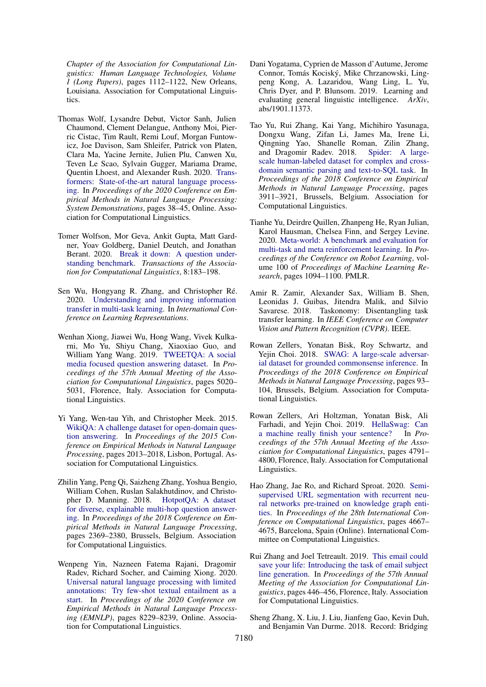*Chapter of the Association for Computational Linguistics: Human Language Technologies, Volume 1 (Long Papers)*, pages 1112–1122, New Orleans, Louisiana. Association for Computational Linguistics.

- <span id="page-17-15"></span>Thomas Wolf, Lysandre Debut, Victor Sanh, Julien Chaumond, Clement Delangue, Anthony Moi, Pierric Cistac, Tim Rault, Remi Louf, Morgan Funtowicz, Joe Davison, Sam Shleifer, Patrick von Platen, Clara Ma, Yacine Jernite, Julien Plu, Canwen Xu, Teven Le Scao, Sylvain Gugger, Mariama Drame, Quentin Lhoest, and Alexander Rush. 2020. [Trans](https://doi.org/10.18653/v1/2020.emnlp-demos.6)[formers: State-of-the-art natural language process](https://doi.org/10.18653/v1/2020.emnlp-demos.6)[ing.](https://doi.org/10.18653/v1/2020.emnlp-demos.6) In *Proceedings of the 2020 Conference on Empirical Methods in Natural Language Processing: System Demonstrations*, pages 38–45, Online. Association for Computational Linguistics.
- <span id="page-17-6"></span>Tomer Wolfson, Mor Geva, Ankit Gupta, Matt Gardner, Yoav Goldberg, Daniel Deutch, and Jonathan Berant. 2020. [Break it down: A question under](https://doi.org/10.1162/tacl_a_00309)[standing benchmark.](https://doi.org/10.1162/tacl_a_00309) *Transactions of the Association for Computational Linguistics*, 8:183–198.
- <span id="page-17-3"></span>Sen Wu, Hongyang R. Zhang, and Christopher Ré. 2020. [Understanding and improving information](https://openreview.net/forum?id=SylzhkBtDB) [transfer in multi-task learning.](https://openreview.net/forum?id=SylzhkBtDB) In *International Conference on Learning Representations*.
- <span id="page-17-13"></span>Wenhan Xiong, Jiawei Wu, Hong Wang, Vivek Kulkarni, Mo Yu, Shiyu Chang, Xiaoxiao Guo, and William Yang Wang. 2019. [TWEETQA: A social](https://doi.org/10.18653/v1/P19-1496) [media focused question answering dataset.](https://doi.org/10.18653/v1/P19-1496) In *Proceedings of the 57th Annual Meeting of the Association for Computational Linguistics*, pages 5020– 5031, Florence, Italy. Association for Computational Linguistics.
- <span id="page-17-14"></span>Yi Yang, Wen-tau Yih, and Christopher Meek. 2015. [WikiQA: A challenge dataset for open-domain ques](https://doi.org/10.18653/v1/D15-1237)[tion answering.](https://doi.org/10.18653/v1/D15-1237) In *Proceedings of the 2015 Conference on Empirical Methods in Natural Language Processing*, pages 2013–2018, Lisbon, Portugal. Association for Computational Linguistics.
- <span id="page-17-9"></span>Zhilin Yang, Peng Qi, Saizheng Zhang, Yoshua Bengio, William Cohen, Ruslan Salakhutdinov, and Christopher D. Manning. 2018. [HotpotQA: A dataset](https://doi.org/10.18653/v1/D18-1259) [for diverse, explainable multi-hop question answer](https://doi.org/10.18653/v1/D18-1259)[ing.](https://doi.org/10.18653/v1/D18-1259) In *Proceedings of the 2018 Conference on Empirical Methods in Natural Language Processing*, pages 2369–2380, Brussels, Belgium. Association for Computational Linguistics.
- <span id="page-17-2"></span>Wenpeng Yin, Nazneen Fatema Rajani, Dragomir Radev, Richard Socher, and Caiming Xiong. 2020. [Universal natural language processing with limited](https://doi.org/10.18653/v1/2020.emnlp-main.660) [annotations: Try few-shot textual entailment as a](https://doi.org/10.18653/v1/2020.emnlp-main.660) [start.](https://doi.org/10.18653/v1/2020.emnlp-main.660) In *Proceedings of the 2020 Conference on Empirical Methods in Natural Language Processing (EMNLP)*, pages 8229–8239, Online. Association for Computational Linguistics.
- <span id="page-17-0"></span>Dani Yogatama, Cyprien de Masson d'Autume, Jerome Connor, Tomás Kociský, Mike Chrzanowski, Lingpeng Kong, A. Lazaridou, Wang Ling, L. Yu, Chris Dyer, and P. Blunsom. 2019. Learning and evaluating general linguistic intelligence. *ArXiv*, abs/1901.11373.
- <span id="page-17-10"></span>Tao Yu, Rui Zhang, Kai Yang, Michihiro Yasunaga, Dongxu Wang, Zifan Li, James Ma, Irene Li, Qingning Yao, Shanelle Roman, Zilin Zhang, and Dragomir Radev. 2018. [Spider: A large](https://doi.org/10.18653/v1/D18-1425)[scale human-labeled dataset for complex and cross](https://doi.org/10.18653/v1/D18-1425)[domain semantic parsing and text-to-SQL task.](https://doi.org/10.18653/v1/D18-1425) In *Proceedings of the 2018 Conference on Empirical Methods in Natural Language Processing*, pages 3911–3921, Brussels, Belgium. Association for Computational Linguistics.
- <span id="page-17-1"></span>Tianhe Yu, Deirdre Quillen, Zhanpeng He, Ryan Julian, Karol Hausman, Chelsea Finn, and Sergey Levine. 2020. [Meta-world: A benchmark and evaluation for](http://proceedings.mlr.press/v100/yu20a.html) [multi-task and meta reinforcement learning.](http://proceedings.mlr.press/v100/yu20a.html) In *Proceedings of the Conference on Robot Learning*, volume 100 of *Proceedings of Machine Learning Research*, pages 1094–1100. PMLR.
- <span id="page-17-4"></span>Amir R. Zamir, Alexander Sax, William B. Shen, Leonidas J. Guibas, Jitendra Malik, and Silvio Savarese. 2018. Taskonomy: Disentangling task transfer learning. In *IEEE Conference on Computer Vision and Pattern Recognition (CVPR)*. IEEE.
- <span id="page-17-12"></span>Rowan Zellers, Yonatan Bisk, Roy Schwartz, and Yejin Choi. 2018. [SWAG: A large-scale adversar](https://doi.org/10.18653/v1/D18-1009)[ial dataset for grounded commonsense inference.](https://doi.org/10.18653/v1/D18-1009) In *Proceedings of the 2018 Conference on Empirical Methods in Natural Language Processing*, pages 93– 104, Brussels, Belgium. Association for Computational Linguistics.
- <span id="page-17-8"></span>Rowan Zellers, Ari Holtzman, Yonatan Bisk, Ali Farhadi, and Yejin Choi. 2019. [HellaSwag: Can](https://doi.org/10.18653/v1/P19-1472) [a machine really finish your sentence?](https://doi.org/10.18653/v1/P19-1472) In *Proceedings of the 57th Annual Meeting of the Association for Computational Linguistics*, pages 4791– 4800, Florence, Italy. Association for Computational Linguistics.
- <span id="page-17-7"></span>Hao Zhang, Jae Ro, and Richard Sproat. 2020. [Semi](https://doi.org/10.18653/v1/2020.coling-main.411)[supervised URL segmentation with recurrent neu](https://doi.org/10.18653/v1/2020.coling-main.411)[ral networks pre-trained on knowledge graph enti](https://doi.org/10.18653/v1/2020.coling-main.411)[ties.](https://doi.org/10.18653/v1/2020.coling-main.411) In *Proceedings of the 28th International Conference on Computational Linguistics*, pages 4667– 4675, Barcelona, Spain (Online). International Committee on Computational Linguistics.
- <span id="page-17-5"></span>Rui Zhang and Joel Tetreault. 2019. [This email could](https://doi.org/10.18653/v1/P19-1043) [save your life: Introducing the task of email subject](https://doi.org/10.18653/v1/P19-1043) [line generation.](https://doi.org/10.18653/v1/P19-1043) In *Proceedings of the 57th Annual Meeting of the Association for Computational Linguistics*, pages 446–456, Florence, Italy. Association for Computational Linguistics.
- <span id="page-17-11"></span>Sheng Zhang, X. Liu, J. Liu, Jianfeng Gao, Kevin Duh, and Benjamin Van Durme. 2018. Record: Bridging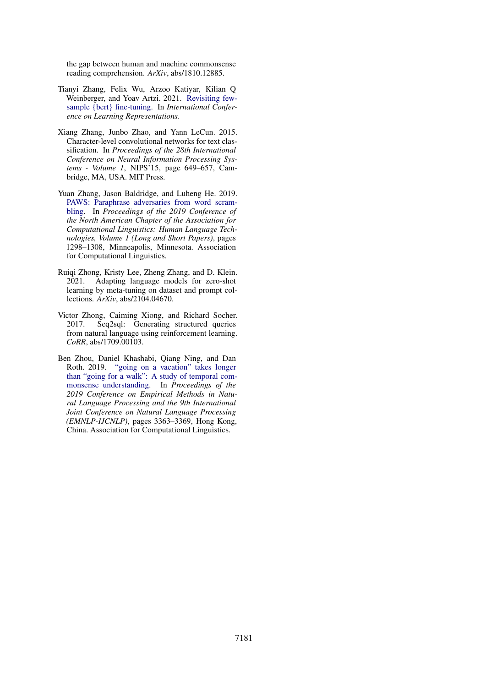the gap between human and machine commonsense reading comprehension. *ArXiv*, abs/1810.12885.

- <span id="page-18-0"></span>Tianyi Zhang, Felix Wu, Arzoo Katiyar, Kilian Q Weinberger, and Yoav Artzi. 2021. [Revisiting few](https://openreview.net/forum?id=cO1IH43yUF)[sample {bert} fine-tuning.](https://openreview.net/forum?id=cO1IH43yUF) In *International Conference on Learning Representations*.
- <span id="page-18-5"></span>Xiang Zhang, Junbo Zhao, and Yann LeCun. 2015. Character-level convolutional networks for text classification. In *Proceedings of the 28th International Conference on Neural Information Processing Systems - Volume 1*, NIPS'15, page 649–657, Cambridge, MA, USA. MIT Press.
- <span id="page-18-3"></span>Yuan Zhang, Jason Baldridge, and Luheng He. 2019. [PAWS: Paraphrase adversaries from word scram](https://doi.org/10.18653/v1/N19-1131)[bling.](https://doi.org/10.18653/v1/N19-1131) In *Proceedings of the 2019 Conference of the North American Chapter of the Association for Computational Linguistics: Human Language Technologies, Volume 1 (Long and Short Papers)*, pages 1298–1308, Minneapolis, Minnesota. Association for Computational Linguistics.
- <span id="page-18-1"></span>Ruiqi Zhong, Kristy Lee, Zheng Zhang, and D. Klein. 2021. Adapting language models for zero-shot learning by meta-tuning on dataset and prompt collections. *ArXiv*, abs/2104.04670.
- <span id="page-18-4"></span>Victor Zhong, Caiming Xiong, and Richard Socher. 2017. Seq2sql: Generating structured queries from natural language using reinforcement learning. *CoRR*, abs/1709.00103.
- <span id="page-18-2"></span>Ben Zhou, Daniel Khashabi, Qiang Ning, and Dan Roth. 2019. ["going on a vacation" takes longer](https://doi.org/10.18653/v1/D19-1332) [than "going for a walk": A study of temporal com](https://doi.org/10.18653/v1/D19-1332)[monsense understanding.](https://doi.org/10.18653/v1/D19-1332) In *Proceedings of the 2019 Conference on Empirical Methods in Natural Language Processing and the 9th International Joint Conference on Natural Language Processing (EMNLP-IJCNLP)*, pages 3363–3369, Hong Kong, China. Association for Computational Linguistics.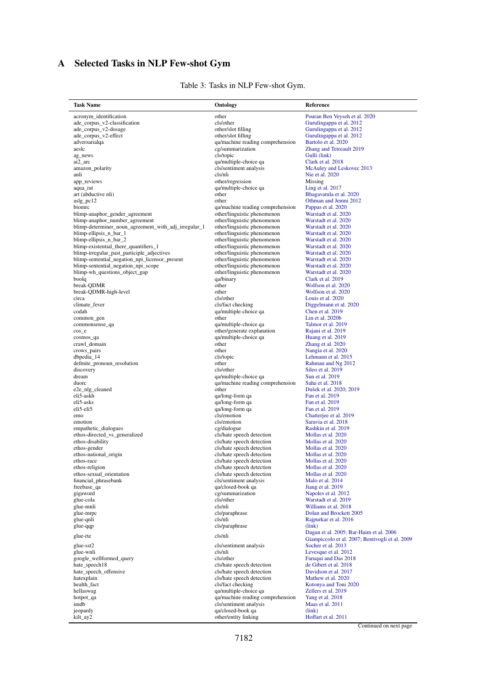# <span id="page-19-0"></span>A Selected Tasks in NLP Few-shot Gym

 $\overline{a}$ 

| Task Name                                            | Ontology                                                        | <b>Reference</b>                                |
|------------------------------------------------------|-----------------------------------------------------------------|-------------------------------------------------|
| acronym identification                               | other                                                           | Pouran Ben Veyseh et al. 2020                   |
| ade_corpus_v2-classification                         | cls/other                                                       | Gurulingappa et al. 2012                        |
| ade_corpus_v2-dosage                                 | other/slot filling                                              | Gurulingappa et al. 2012                        |
| ade_corpus_v2-effect                                 | other/slot filling                                              | Gurulingappa et al. 2012                        |
| adversarialqa                                        | qa/machine reading comprehension                                | Bartolo et al. 2020                             |
| aeslc                                                | cg/summarization                                                | Zhang and Tetreault 2019                        |
| ag_news                                              | cls/topic                                                       | Gulli (link)                                    |
| ai2_arc                                              | qa/multiple-choice qa                                           | Clark et al. 2018                               |
| amazon_polarity                                      | cls/sentiment analysis                                          | McAuley and Leskovec 2013                       |
| anli                                                 | cls/nli                                                         | Nie et al. 2020                                 |
| app_reviews                                          | other/regression                                                | Missing                                         |
| aqua_rat                                             | qa/multiple-choice qa                                           | Ling et al. 2017                                |
| art (abductive nli)                                  | other                                                           | Bhagavatula et al. 2020                         |
| aslg_pc12<br>biomrc                                  | other                                                           | Othman and Jemni 2012                           |
| blimp-anaphor_gender_agreement                       | qa/machine reading comprehension<br>other/linguistic phenomenon | Pappas et al. 2020<br>Warstadt et al. 2020      |
| blimp-anaphor_number_agreement                       | other/linguistic phenomenon                                     | Warstadt et al. 2020                            |
| blimp-determiner_noun_agreement_with_adj_irregular_1 | other/linguistic phenomenon                                     | Warstadt et al. 2020                            |
| blimp-ellipsis_n_bar_1                               | other/linguistic phenomenon                                     | Warstadt et al. 2020                            |
| blimp-ellipsis_n_bar_2                               | other/linguistic phenomenon                                     | Warstadt et al. 2020                            |
| blimp-existential_there_quantifiers_1                | other/linguistic phenomenon                                     | Warstadt et al. 2020                            |
| blimp-irregular_past_participle_adjectives           | other/linguistic phenomenon                                     | Warstadt et al. 2020                            |
| blimp-sentential_negation_npi_licensor_present       | other/linguistic phenomenon                                     | Warstadt et al. 2020                            |
| blimp-sentential negation npi scope                  | other/linguistic phenomenon                                     | Warstadt et al. 2020                            |
| blimp-wh_questions_object_gap                        | other/linguistic phenomenon                                     | Warstadt et al. 2020                            |
| boolq                                                | qa/binary                                                       | Clark et al. 2019                               |
| break-QDMR                                           | other                                                           | Wolfson et al. 2020                             |
| break-QDMR-high-level                                | other                                                           | Wolfson et al. 2020                             |
| circa                                                | cls/other                                                       | Louis et al. 2020                               |
| climate fever                                        | cls/fact checking                                               | Diggelmann et al. 2020                          |
| codah                                                | qa/multiple-choice qa                                           | Chen et al. 2019                                |
| common_gen                                           | other                                                           | Lin et al. $2020b$                              |
| commonsense_qa                                       | qa/multiple-choice qa                                           | Talmor et al. 2019                              |
| $\cos$ <sup>e</sup>                                  | other/generate explanation                                      | Rajani et al. 2019                              |
| cosmos_qa<br>crawl_domain                            | qa/multiple-choice qa<br>other                                  | Huang et al. 2019                               |
| crows_pairs                                          | other                                                           | Zhang et al. 2020<br>Nangia et al. 2020         |
| dbpedia_14                                           | cls/topic                                                       | Lehmann et al. 2015                             |
| definite_pronoun_resolution                          | other                                                           | Rahman and Ng 2012                              |
| discovery                                            | cls/other                                                       | Sileo et al. 2019                               |
| dream                                                | qa/multiple-choice qa                                           | Sun et al. 2019                                 |
| duorc                                                | qa/machine reading comprehension                                | Saha et al. 2018                                |
| e2e_nlg_cleaned                                      | other                                                           | Dušek et al. 2020, 2019                         |
| eli5-askh                                            | qa/long-form qa                                                 | Fan et al. 2019                                 |
| eli5-asks                                            | qa/long-form qa                                                 | Fan et al. 2019                                 |
| eli5-eli5                                            | qa/long-form qa                                                 | Fan et al. 2019                                 |
| emo                                                  | cls/emotion                                                     | Chatterjee et al. 2019                          |
| emotion                                              | cls/emotion                                                     | Saravia et al. 2018                             |
| empathetic_dialogues                                 | cg/dialogue                                                     | Rashkin et al. 2019                             |
| ethos-directed_vs_generalized                        | cls/hate speech detection                                       | Mollas et al. 2020                              |
| ethos-disability                                     | cls/hate speech detection                                       | Mollas et al. 2020                              |
| ethos-gender                                         | cls/hate speech detection                                       | Mollas et al. 2020                              |
| ethos-national_origin<br>ethos-race                  | cls/hate speech detection<br>cls/hate speech detection          | Mollas et al. 2020<br>Mollas et al. 2020        |
|                                                      | cls/hate speech detection                                       | Mollas et al. 2020                              |
| ethos-religion<br>ethos-sexual_orientation           | cls/hate speech detection                                       | Mollas et al. 2020                              |
| financial phrasebank                                 | cls/sentiment analysis                                          | Malo et al. 2014                                |
| freebase_qa                                          | qa/closed-book qa                                               | Jiang et al. 2019                               |
| gigaword                                             | cg/summarization                                                | Napoles et al. 2012                             |
| glue-cola                                            | cls/other                                                       | Warstadt et al. 2019                            |
| glue-mnli                                            | cls/nli                                                         | Williams et al. 2018                            |
| glue-mrpc                                            | cls/paraphrase                                                  | Dolan and Brockett 2005                         |
| glue-qnli                                            | cls/nli                                                         | Rajpurkar et al. 2016                           |
| glue-qqp                                             | cls/paraphrase                                                  | (link)                                          |
| glue-rte                                             | cls/nli                                                         | Dagan et al. 2005; Bar-Haim et al. 2006         |
|                                                      |                                                                 | Giampiccolo et al. 2007; Bentivogli et al. 2009 |
| glue-sst2                                            | cls/sentiment analysis                                          | Socher et al. 2013                              |
| glue-wnli                                            | cls/nli                                                         | Levesque et al. 2012                            |
| google_wellformed_query                              | cls/other                                                       | Faruqui and Das 2018                            |
| hate_speech18<br>hate speech offensive               | cls/hate speech detection                                       | de Gibert et al. 2018                           |
| hatexplain                                           | cls/hate speech detection<br>cls/hate speech detection          | Davidson et al. 2017<br>Mathew et al. 2020      |
| health_fact                                          | cls/fact checking                                               | Kotonya and Toni 2020                           |
| hellaswag                                            | qa/multiple-choice qa                                           | Zellers et al. 2019                             |
| hotpot_qa                                            | qa/machine reading comprehension                                | Yang et al. 2018                                |
| imdb                                                 | cls/sentiment analysis                                          | Maas et al. 2011                                |
| jeopardy                                             | qa/closed-book qa                                               | (link)                                          |
| kilt_ay2                                             | other/entity linking                                            | Hoffart et al. 2011                             |

## Table 3: Tasks in NLP Few-shot Gym.

Continued on next page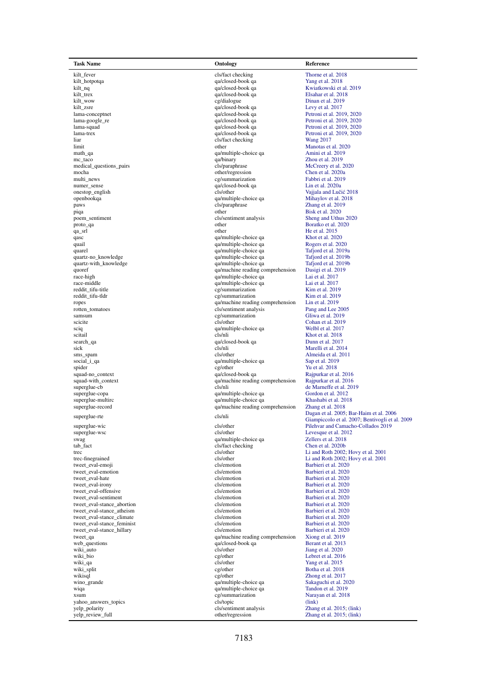kilt\_trex <br>
kilt\_trex qa/closed-book qa<br>
eg/dialogue et al. 2018 kilt\_zsre qa/closed-book qa<br>
lama-conceptnet data al. 2017 al. 2017 al. 2017 al. 2017 al. 2017 al. 2017 al. 2017 al. 2017 al. 2017 al. 2017 al. 2017 al. 2017 al. 2017 al. 2017 al. 2017 al. 2017 al. 2017 al. 2017 al. 2017 a liar cls/fact checking<br>limit other mc\_taco qa/binary distributions and the medical questions pairs and distribution of the distribution of the distribution of the distribution of the distribution of the distribution of the distribution of the distribution o numer\_sense qa/closed-book qa qa/closed-book qa qa/closed-book qa qa/closed-book qa qa/closed-book qa qa/closed-book qa qa/closed-book qa qa/closed-book qa qa/closed-book qa qa/closed-book qa qa/closed-book qa qa/closed-bo openbookqa qa/multiple-choice qa qa/multiple-choice qa qa/multiple-choice qa qa/multiple-choice qa qa/multiple-choice qa qa/multiple-choice qa qa/multiple-choice qa qa/multiple-choice qa qa/multiple-choice qa qa/multiple-c samsum cg/summarization et al. 2019<br>cls/other cls/other sciq qa/multiple-choice qa<br>citail et al. 2017<br>cls/nli search\_qa qa/closed-book qa qa/closed-book qa qa/closed-book qa qa/closed-book qa qa/closed-book qa qa/closed-book qa qa tweet\_eval-emotion cls/emotion cls/emotion cls/emotion cls/emotion cls/emotion web\_questions qa/closed-book qa al. 2013/01/2014 qa/closed-book qa al. 2013/01/2014 qa/closed-book qa al. 2013/01/2014 qa/closed-book qa al. 2013/01/2014 qa/closed-book qa al. 2013/01/2014 qa/closed-book qa al. 2013/01/201 wiqa qa/multiple-choice qa qa/multiple-choice qa [Tandon et al. 2019](#page-16-16) yahoo\_answers\_topics cls/topic cls/topic cls/topic cls/sentiment analysis

kilt\_fever cls/fact checking cls/fact checking [Thorne et al. 2018](#page-16-10)<br>
ca/closed-book as calculated thorne and the class of the class of the class of the calculated thorne et al. 2018 kilt\_hotpotqa qa/closed-book qa [Yang et al. 2018](#page-17-9) kilt\_nq<br>
interval and the calculated-book qa<br>
qa/closed-book qa<br>
ga/closed-book qa<br>
Elsahar et al. 2018 kilt\_wow cg/dialogue [Dinan et al. 2019](#page-10-12)<br>
kilt\_zsre da/closed-book qa Levy et al. 2017 lama-conceptnet del ama-conceptnet de la maria de la maria de la maria de la maria de la maria de la maria de<br>
la maria de la maria de la maria de la maria de la maria de la maria de la maria de la maria de la maria de l<br> lama-squad and a qa/closed-book qa and [Petroni et al. 2019,](#page-14-13) [2020](#page-14-14)<br>alma-trex aa/closed-book qa Petroni et al. 2019, 2020 lama-trex qualitative control of the control of the control of the control of the control of the control of the control of the control of the control of the control of the control of the control of the control of the contr limit other [Manotas et al. 2020](#page-13-10)<br>
math\_qa and qa/multiple-choice qa Amini et al. 2019 math\_qa <br>mc taco qa/multiple-choice qa [Amini et al. 2019](#page-9-10)<br>a/binary <br>Zhou et al. 2019 medical\_questions\_pairs cls/paraphrase [McCreery et al. 2020](#page-13-11) mocha other/regression [Chen et al. 2020a](#page-9-11) multi\_news cg/summarization [Fabbri et al. 2019](#page-10-13)<br>
qa/closed-book qa Lin et al. 2020a onestop\_english cls/other Cls/other Vajjala and Lučić [2018](#page-16-12) openbookqa qa/multiple-choice qa Mihaylov et al. 2018 pays cls/paraphrase  $\frac{2 \text{ hang et al. 2019}}{\text{Risk et al. 2020}}$ piqa bisk et al. 2020<br>
poem\_sentiment<br>
piqa other [Bisk et al. 2020](#page-9-12)<br>
cls/sentiment<br>
cls/sentiment<br>
cls/sentiment<br>
cls/sentiment<br>
cls/sentiment<br>
cls/sentiment<br>
cls/sentiment<br>
cls/sentiment<br>
cls/sentiment<br>
cls/sentiment<br>
cls/ poem\_sentiment<br>
poem\_sentiment<br>
cls/sentiment analysis [Sheng and Uthus 2020](#page-15-13)<br>
proto\_qa Boratko et al. 2020 proto\_qa other [Boratko et al. 2020](#page-9-13)<br>
qa\_srl Boratko et al. 2020<br>
other He et al. 2015 qa\_srl deter [He et al. 2015](#page-11-12)<br>qase determined a structure et al. 2015<br>qase determined a structure et al. 2020 qa/multiple-choice qa [Khot et al. 2020](#page-12-10)<br>
qa/multiple-choice qa Rogers et al. 2020 qa/multiple-choice qa<br>
qa/multiple-choice qa<br>
Tafiord et al. 2019a quarel qa/multiple-choice qa [Tafjord et al. 2019a](#page-16-13)<br>
qa/multiple-choice qa Tafjord et al. 2019a<br>
qa/multiple-choice qa Tafjord et al. 2019b quartitude choice quarties and the choice quarties of the [Tafjord et al. 2019b](#page-16-14)<br>qa/multiple-choice qa Tafjord et al. 2019b quartz-with\_knowledge  $q$ a/multiple-choice qa Tafjord et al. 2019<br>quartz-with\_knowledge qa/machine reading comprehension Dasigi et al. 2019 quoref a/machine reading comprehension Dasigi et al. 2017<br>
qa/machine reading comprehension Dasigi et al. 2017<br>
qa/multiple-choice qa Lai et al. 2017 race-high qa/multiple-choice qa [Lai et al. 2017](#page-12-11)<br>race-middle qa/multiple-choice qa Lai et al. 2017 race-middle qa/multiple-choice qa [Lai et al. 2017](#page-12-11)<br>
reddit tifu-title choice qa ce/summarization Kim et al. 2019 reddit\_tifu-title cg/summarization [Kim et al. 2019](#page-12-12)<br>
cg/summarization Kim et al. 2019<br>
cg/summarization Kim et al. 2019 red at the cg/summarization cg/summarization Einer al. 2019<br>qa/machine reading comprehension Lin et al. 2019 ropes<br>
qa/machine reading comprehension [Lin et al. 2019](#page-13-14)<br>
cls/sentiment analysis Pang and Lee 2005 rotten\_tomatoes cls/sentiment analysis [Pang and Lee 2005](#page-14-15)<br>
cg/summarization Cliwa et al. 2019 scitail cls/nli<br>
cls/nli Cls/nli [Khot et al. 2018](#page-12-13)<br>
calcosed-book qa Dunn et al. 2017 sick and the class of the class of the class of the class of the class of the class of the class of the class of the class of the class of the class of the class of the class of the class of the class of the class of the c sms\_spam cls/other [Almeida et al. 2011](#page-8-1)<br>social\_i\_qa qa/multiple-choice qa Sap et al. 2019 qa/multiple-choice qa [Sap et al. 2019](#page-15-15)<br>Cg/other Superior Sap et al. 2018 spider and the cg/other cg/other cg/other Services and Tune of the Services of the Services of the Services of the Services of the Services of the Services of the Services of the Services of the Services of the Services of squad-no\_context qa/closed-book qa [Rajpurkar et al. 2016](#page-15-11)<br>squad-with\_context qa/machine reading comprehension Rajpurkar et al. 2016 squad-with\_context qa/machine reading comprehension quad-with\_context qa/machine reading comprehension clusters superglue-cb cls/nli cls/nli [de Marneffe et al. 2019](#page-13-16)<br>
superglue-copa qa/multiple-choice qa Gordon et al. 2012 superglue-copa<br>superglue-copa qa/multiple-choice qa [Gordon et al. 2012](#page-11-14)<br>qa/multiple-choice qa Khashabi et al. 2018 superglue-multirc and the contract of the qa/multiple-choice qa Rhashabi et al. 2018<br>qa/machine reading comprehension Zhang et al. 2018 qa/machine reading comprehension swag qa/multiple-choice qa [Zellers et al. 2018](#page-17-12)<br>tab\_fact class class class class class class class class class class class class class class class class class class class class class class class class class class class clas cls/fact checking<br>cls/other the electron cls/emotion<br>
the classical classical classical classical classical classical classical classical classical classical classical classical classical classical classical classical classical classical classical cl the cls/emotion cls/emotion [Barbieri et al. 2020](#page-9-14)<br>Rarbieri et al. 2020 tweet\_eval-irony cls/emotion barbieri et al. 2020<br>
tweet eval-offensive cls/emotion cls/emotion [Barbieri et al. 2020](#page-9-14) tweet\_eval-offensive cls/emotion [Barbieri et al. 2020](#page-9-14)<br>tweet\_eval-sentiment cls/emotion cls/emotion Barbieri et al. 2020 tweet\_eval-sentiment cls/emotion cls/emotion [Barbieri et al. 2020](#page-9-14)<br>
cls/emotion Barbieri et al. 2020<br>
cls/emotion Barbieri et al. 2020 tweet\_eval-stance\_abortion cls/emotion cls/emotion [Barbieri et al. 2020](#page-9-14)<br>
cls/emotion Barbieri et al. 2020<br>
Cls/emotion Barbieri et al. 2020 tweet\_eval-stance\_atheism cls/emotion [Barbieri et al. 2020](#page-9-14)<br>
tweet\_eval-stance\_climate cls/emotion cls/emotion Barbieri et al. 2020 tweet\_eval-stance\_climate cls/emotion cls/emotion [Barbieri et al. 2020](#page-9-14)<br>
tweet eval-stance feminist cls/emotion cls/emotion Barbieri et al. 2020 tweet\_eval-stance\_feminist<br>tweet eval-stance\_feminist<br>cls/emotion cls/emotion [Barbieri et al. 2020](#page-9-14) tweet\_eval-stance\_hillary cls/emotion [Barbieri et al. 2020](#page-9-14)<br>tweet quadruschine reading comprehension Clouds at al. 2019 tweet\_qa <br>
qa/machine reading comprehension [Xiong et al. 2019](#page-17-13)<br>
web questions <br>
qa/closed-book qa Berant et al. 2013 wiki\_auto cls/other January Cls/other [Jiang et al. 2020](#page-12-15)<br>wiki\_auto cls/other Jiang et al. 2020<br>wiki\_bio cg/other Lebret et al. 2010 wiki\_bio cg/other [Lebret et al. 2016](#page-12-16) wiki\_qa cls/other [Yang et al. 2015](#page-17-14)<br>wiki\_split cg/other Postal and Call 2018 eg/other [Botha et al. 2018](#page-9-16)<br>Extends the al. 2018<br>Zhong et al. 2017 wikisql cg/other 2Dong et al. 2017<br>
wino\_grande and the qamultiple-choice qa Sakaguchi et al. 2020 qa/multiple-choice qa Sakaguchi et al. 20<br>qa/multiple-choice qa Tandon et al. 2019 xsum cg/summarization [Narayan et al. 2018](#page-14-17)<br>cls/topic (link) yelp\_polarity cls/sentiment analysis  $\frac{1}{2}$ <br>yelp\_review\_full cls/sentiment analysis  $\frac{1}{2}$ <br>yelp\_review\_full cls/sentiment analysis  $\frac{1}{2}$ <br>xhang et al. 2015; [\(link\)](https://www.yelp.com/dataset) other/regression [Zhang et al. 2015;](#page-18-5) [\(link\)](https://www.yelp.com/dataset)

Task Name Ontology Reference Petroni et al.  $2019$ ,  $2020$ [Cohan et al. 2019](#page-10-15)<br>Welbl et al. 2017 superglue-rte clearly complements of [Dagan et al. 2005;](#page-10-9) [Bar-Haim et al. 2006](#page-9-8)<br>Class complements clearly complements of Dagan et al. 2005; Bar-Haim et al. 2006 [Giampiccolo et al. 2007;](#page-11-8) [Bentivogli et al. 2009](#page-9-9) superglue-wic cls/other cls/other [Pilehvar and Camacho-Collados 2019](#page-14-16)<br>cls/other cls/other cls/other cls/other cls/other cls/other cls/other cls/other cls/other cls/other cls/other cls/other cls/other cls/other cls/other cls [Levesque et al. 2012](#page-12-6)<br>Zellers et al. 2018 trec content the content of the club of the class of the class of the content of the class of the class of the c<br>
class of the class of the class of the content of the content of the content of the content of the content o trec-finegrained cls/other [Li and Roth 2002;](#page-13-17) [Hovy et al. 2001](#page-11-15)<br>tweet\_eval-emoji cls/emotion Barbieri et al. 2020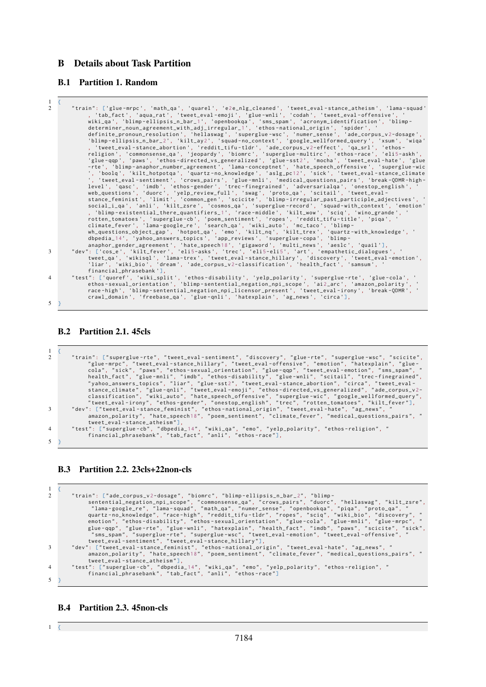## <span id="page-21-0"></span>B Details about Task Partition

## B.1 Partition 1. Random

| -1             | $\left\{ \right.$                                                                                                                                                                                                                                                                                            |
|----------------|--------------------------------------------------------------------------------------------------------------------------------------------------------------------------------------------------------------------------------------------------------------------------------------------------------------|
| $\overline{2}$ | "train": ['glue-mrpc', 'math_qa', 'quarel', 'e2e_nlg_cleaned', 'tweet_eval-stance_atheism', 'lama-squad'<br>, 'tab_fact', 'aqua_rat', 'tweet_eval-emoji', 'glue-wnli', 'codah', 'tweet_eval-offensive', '<br>wiki_qa', 'blimp-ellipsis_n_bar_1', 'openbookqa', 'sms_spam', 'acronym_identification', 'blimp- |
|                | determiner_noun_agreement_with_adj_irregular_1', 'ethos-national_origin', 'spider', '                                                                                                                                                                                                                        |
|                | definite_pronoun_resolution', 'hellaswag', 'superglue-wsc', 'numer_sense', 'ade_corpus_v2-dosage',                                                                                                                                                                                                           |
|                | 'blimp-ellipsis_n_bar_2', 'kilt_ay2', 'squad-no_context', 'google_wellformed_query', 'xsum', 'wiqa'<br>, 'tweet_eval-stance_abortion', 'reddit_tifu-tldr', 'ade_corpus_v2-effect', 'qa_srl', 'ethos-                                                                                                         |
|                | religion', 'commonsense_qa', 'jeopardy', 'biomrc', 'superglue-multirc', 'ethos-race', 'eli5-askh',                                                                                                                                                                                                           |
|                | 'glue-qqp', 'paws', 'ethos-directed_vs_generalized', 'glue-sst2', 'mocha', 'tweet_eval-hate', 'glue                                                                                                                                                                                                          |
|                | -rte', 'blimp-anaphor_number_agreement', 'lama-conceptnet', 'hate_speech_offensive', 'superglue-wic                                                                                                                                                                                                          |
|                | ', 'boolg', 'kilt_hotpotga', 'quartz-no_knowledge', 'aslg_pc12', 'sick', 'tweet_eval-stance_climate<br>', 'tweet_eval-sentiment', 'crows_pairs', 'glue-mnli', 'medical_questions_pairs', 'break-ODMR-high-                                                                                                   |
|                | level', 'qasc', 'imdb', 'ethos-gender', 'trec-finegrained', 'adversarialga', 'onestop_english', '                                                                                                                                                                                                            |
|                | web_questions', 'duorc', 'yelp_review_full', 'swag', 'proto_qa', 'scitail', 'tweet_eval-                                                                                                                                                                                                                     |
|                | stance_feminist', 'limit', 'common_gen', 'scicite', 'blimp-irregular_past_participle_adjectives', '                                                                                                                                                                                                          |
|                | social_i_qa', 'anli', 'kilt_zsre', 'cosmos_qa', 'superglue-record', 'squad-with_context', 'emotion'                                                                                                                                                                                                          |
|                | , 'blimp-existential_there_quantifiers_1', 'race-middle', 'kilt_wow', 'sciq', 'wino_grande', '<br>rotten_tomatoes', 'superglue-cb', 'poem_sentiment', 'ropes', 'reddit_tifu-title', 'piqa', '                                                                                                                |
|                | climate_fever', 'lama-google_re', 'search_qa', 'wiki_auto', 'mc_taco', 'blimp-                                                                                                                                                                                                                               |
|                | wh_questions_object_gap', 'hotpot_qa', 'emo', 'kilt_nq', 'kilt_trex', 'quartz-with_knowledge', '                                                                                                                                                                                                             |
|                | dbpedia_14', 'yahoo_answers_topics', 'app_reviews', 'superglue-copa', 'blimp-                                                                                                                                                                                                                                |
|                | anaphor_gender_agreement', 'hate_speech18', 'gigaword', 'multi_news', 'aeslc', 'quail'],                                                                                                                                                                                                                     |
| 3              | "dev": ['cos_e', 'kilt_fever', 'eli5-asks', 'trec', 'eli5-eli5', 'art', 'empathetic_dialogues', '                                                                                                                                                                                                            |
|                | tweet_qa', 'wikisql', 'lama-trex', 'tweet_eval-stance_hillary', 'discovery', 'tweet_eval-emotion',<br>'liar', 'wiki_bio', 'dream', 'ade_corpus_v2-classification', 'health_fact', 'samsum', '                                                                                                                |
|                | financial_phrasebank'],                                                                                                                                                                                                                                                                                      |
| $\overline{4}$ | "test": ['quoref', 'wiki_split', 'ethos-disability', 'yelp_polarity', 'superglue-rte', 'glue-cola', '                                                                                                                                                                                                        |
|                | ethos-sexual_orientation', 'blimp-sentential_negation_npi_scope', 'ai2_arc', 'amazon_polarity', '                                                                                                                                                                                                            |
|                | race-high', 'blimp-sentential_negation_npi_licensor_present', 'tweet_eval-irony', 'break-ODMR', '                                                                                                                                                                                                            |
| 5              | crawl_domain', 'freebase_qa', 'glue-qnli', 'hatexplain', 'ag_news', 'circa'],                                                                                                                                                                                                                                |
|                |                                                                                                                                                                                                                                                                                                              |

## B.2 Partition 2.1. 45cls

 $\overline{a}$ 

| 2              | "train": ["superglue-rte", "tweet_eval-sentiment", "discovery", "glue-rte", "superglue-wsc", "scicite", |
|----------------|---------------------------------------------------------------------------------------------------------|
|                | "glue-mrpc", "tweet_eval-stance_hillary", "tweet_eval-offensive", "emotion", "hatexplain", "glue-       |
|                | cola", "sick", "paws", "ethos-sexual_orientation", "glue-qqp", "tweet_eval-emotion", "sms_spam", "      |
|                | health_fact", "glue-mnli", "imdb", "ethos-disability", "glue-wnli", "scitail", "trec-finegrained",      |
|                | "yahoo_answers_topics", "liar", "glue-sst2", "tweet_eval-stance_abortion", "circa", "tweet_eval-        |
|                | stance_climate", "glue-qnli", "tweet_eval-emoji", "ethos-directed_vs_generalized", "ade_corpus_v2-      |
|                | classification", "wiki_auto", "hate_speech_offensive", "superglue-wic", "google_wellformed_query",      |
|                | "tweet_eval-irony", "ethos-gender", "onestop_english", "trec", "rotten_tomatoes", "kilt_fever"],        |
| 3              | "dev": ["tweet_eval-stance_feminist", "ethos-national_origin", "tweet_eval-hate", "ag_news", "          |
|                | amazon_polarity", "hate_speech18", "poem_sentiment", "climate_fever", "medical_questions_pairs", "      |
|                | tweet eval-stance atheism"].                                                                            |
| $\overline{4}$ | "test": ["superglue-cb", "dbpedia_14", "wiki_qa", "emo", "yelp_polarity", "ethos-religion", "           |
|                | financial_phrasebank", "tab_fact", "anli", "ethos-race"],                                               |
| 5              |                                                                                                         |

## B.3 Partition 2.2. 23cls+22non-cls

```
\frac{1}{2}"train": ["ade_corpus_v2-dosage", "biomrc", "blimp-ellipsis_n_bar_2", "blimp-<br>sentential_negation_npi_scope", "commonsense_qa", "crows_pairs", "duorc", "hellaswag", "kilt_zsre",<br>"lama-google_re", "lama-squad", "math_qa", "
                       \label{eq:3} \begin{array}{lll} \texttt{if} & \texttt{if} & \texttt{if} & \texttt{if} & \texttt{if} \\ \texttt{if} & \texttt{if} & \texttt{if} & \texttt{if} & \texttt{if} & \texttt{if} \\ \texttt{if} & \texttt{if} & \texttt{if} & \texttt{if} & \texttt{if} & \texttt{if} \\ \texttt{if} & \texttt{if} & \texttt{if} & \texttt{if} & \texttt{if} & \texttt{if} \\ \texttt{if} & \texttt{if} & \texttt{if} & \texttt{if} & \texttt{if} & \texttt{if} \\ \texttt5 }
```
## B.4 Partition 2.3. 45non-cls

 $1 \quad$  {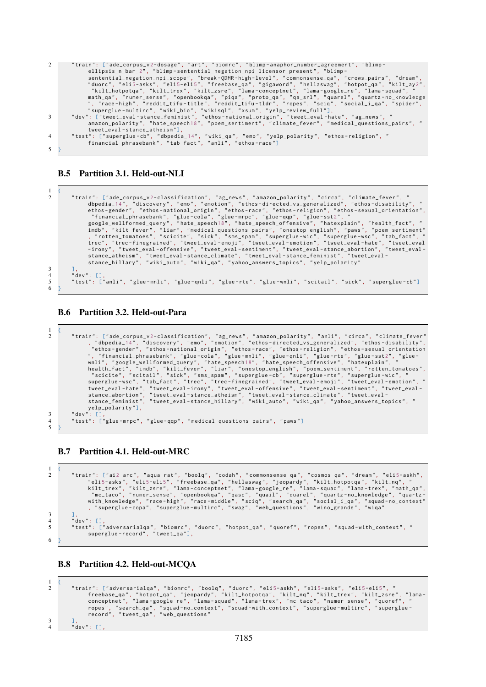| 2              | "train": ["ade_corpus_v2-dosage", "art", "biomrc", "blimp-anaphor_number_agreement", "blimp-<br>ellipsis_n_bar_2", "blimp-sentential_negation_npi_licensor_present", "blimp- |
|----------------|------------------------------------------------------------------------------------------------------------------------------------------------------------------------------|
|                | sentential_negation_npi_scope", "break-ODMR-high-level", "commonsense_qa", "crows_pairs", "dream",                                                                           |
|                | "duorc", "eli5-asks", "eli5-eli5", "freebase_qa", "gigaword", "hellaswag", "hotpot_qa", "kilt_ay2",                                                                          |
|                | "kilt_hotpotqa", "kilt_trex", "kilt_zsre", "lama-conceptnet", "lama-google_re", "lama-squad", "                                                                              |
|                | math_qa", "numer_sense", "openbookqa", "piqa", "proto_qa", "qa_srl", "quarel", "quartz-no_knowledge                                                                          |
|                | ", "race-high", "reddit_tifu-title", "reddit_tifu-tldr", "ropes", "sciq", "social_i_qa", "spider",                                                                           |
|                | "superglue-multirc", "wiki_bio", "wikisql", "xsum", "yelp_review_full"],                                                                                                     |
| 3              | "dev": ["tweet_eval-stance_feminist", "ethos-national_origin", "tweet_eval-hate", "ag_news", "                                                                               |
|                | amazon_polarity", "hate_speech18", "poem_sentiment", "climate_fever", "medical_questions_pairs", "                                                                           |
|                | $tweet$ _eval -stance_atheism"],                                                                                                                                             |
| $\overline{4}$ | "test": ["superglue-cb", "dbpedia_14", "wiki_qa", "emo", "yelp_polarity", "ethos-religion", "                                                                                |
|                | financial_phrasebank", "tab_fact", "anli", "ethos-race"]                                                                                                                     |
|                |                                                                                                                                                                              |

## B.5 Partition 3.1. Held-out-NLI

 $1 \leq \ell$ 

| $\overline{c}$ | "train": ["ade_corpus_v2-classification", "ag_news", "amazon_polarity", "circa", "climate_fever", "    |
|----------------|--------------------------------------------------------------------------------------------------------|
|                | dbpedia_14", "discovery", "emo", "emotion", "ethos-directed_vs_generalized", "ethos-disability", "     |
|                | ethos-gender", "ethos-national_origin", "ethos-race", "ethos-religion", "ethos-sexual_orientation",    |
|                | "financial_phrasebank", "glue-cola", "glue-mrpc", "glue-qqp", "glue-sst2", "                           |
|                | google_wellformed_query", "hate_speech18", "hate_speech_offensive", "hatexplain", "health_fact", "     |
|                | imdb", "kilt_fever", "liar", "medical_questions_pairs", "onestop_english", "paws", "poem_sentiment"    |
|                | , "rotten_tomatoes", "scicite", "sick", "sms_spam", "superglue-wic", "superglue-wsc", "tab_fact", "    |
|                | trec", "trec-finegrained", "tweet_eval-emoji", "tweet_eval-emotion", "tweet_eval-hate", "tweet_eval    |
|                | -irony", "tweet_eval-offensive", "tweet_eval-sentiment", "tweet_eval-stance_abortion", "tweet_eval-    |
|                | stance_atheism", "tweet_eval-stance_climate", "tweet_eval-stance_feminist", "tweet_eval-               |
|                | stance_hillary", "wiki_auto", "wiki_qa", "yahoo_answers_topics", "yelp_polarity"                       |
| $\overline{3}$ |                                                                                                        |
| $\overline{4}$ | "dev": $\lceil \cdot \rceil$ .                                                                         |
| 5              | "test": ["anli", "glue-mnli", "glue-qnli", "glue-rte", "glue-wnli", "scitail", "sick", "superglue-cb"] |
| 6              |                                                                                                        |

## B.6 Partition 3.2. Held-out-Para

```
\frac{1}{2}"train": ["ade_corpus_v2-classification", "ag_news", "amazon_polarity", "anli", "circa", "climate_fever"<br>"ethos-gender", "ethos-national_origin", "ethos-race", "ethos-race", "ethos-sexual_orientiality",<br>"ethos-generalized"
yelp_polarity "],
3 " dev ": [ ],
4 " test ": [" glue - mrpc ", " glue - qqp ", " medical_questions_pairs ", " paws "]
    \overline{\phantom{a}}
```
## B.7 Partition 4.1. Held-out-MRC

```
\frac{1}{2}"train": ["ai2_arc", "aqua_rat", "boolq", "codah", "commonsense_qa", "cosmos_qa", "dream", "eli5-askh",<br>"eli5-asks", "eli5-eli5", "freebase_qa", "hellaswag", "jeopardy", "kilt_hotpotqa", "kilt_nq", "<br>"kilt_trex", "kilt_zsr
 3 ],
4 " dev ": [ ],
 5 " test ": [" adversarialqa ", " biomrc ", " duorc ", " hotpot_qa ", " quoref ", " ropes ", " squad - with_context ", "
superglue - record ", " tweet_qa "],
6 }
```
B.8 Partition 4.2. Held-out-MCQA

```
\frac{1}{2}"train": ["adversarialqa", "biomrc", "boolq", "duorc", "eli5-askh", "eli5-asks", "eli5-eli5", "<br>freebase_qa", "hotpot_qa", "jeopardy", "kilt_hotpotqa", "kilt_nq", "kilt_trex", "kilt_zsre", "lama-<br>conceptnet", "lama-soogle_
3 ],
4 " dev ": [ ],
```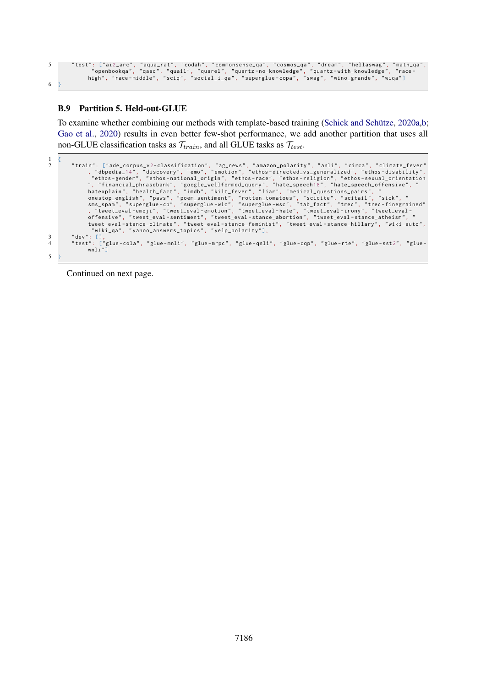,"test": ["ai2\_arc", "aqua\_rat", "codah", "commonsense\_qa", "cosmos\_qa", "dream", "hellaswag", "math\_qa", "<br>"openbookqa", "qasc", "quail", "quarel", "quartz-no\_knowledge", "quartz-with\_knowledge", "race-"<br>high", "race-midd 6 }

## B.9 Partition 5. Held-out-GLUE

To examine whether combining our methods with template-based training [\(Schick and Schütze,](#page-15-1) [2020a](#page-15-1)[,b;](#page-15-2) [Gao et al.,](#page-11-0) [2020\)](#page-11-0) results in even better few-shot performance, we add another partition that uses all non-GLUE classification tasks as  $\mathcal{T}_{train}$ , and all GLUE tasks as  $\mathcal{T}_{test}$ .

 $\frac{1}{2}$ "train": ["ade\_corpus\_v2-classification", "ag\_news", "amazon\_polarity", "anli", "circa", "climate\_fever", "dbpedia\_14", "discovery", "emo", "enthos-disected\_vs\_generalized", "ethos-disability",<br>"thos-generalized", "ethos-a tweet\_eval - stance\_climate ", " tweet\_eval - stance\_feminist ", " tweet\_eval - stance\_hillary ", " wiki\_auto ", " wiki\_qa ", " yahoo\_answers\_topics ", " yelp\_polarity "], 3 "dev": [],<br>4 "test": ["glue-cola", "glue-mnli", "glue-mrpc", "glue-qnli", "glue-qqp", "glue-rte", "glue-sst2", "glue-<br>wnli"] 5 }

Continued on next page.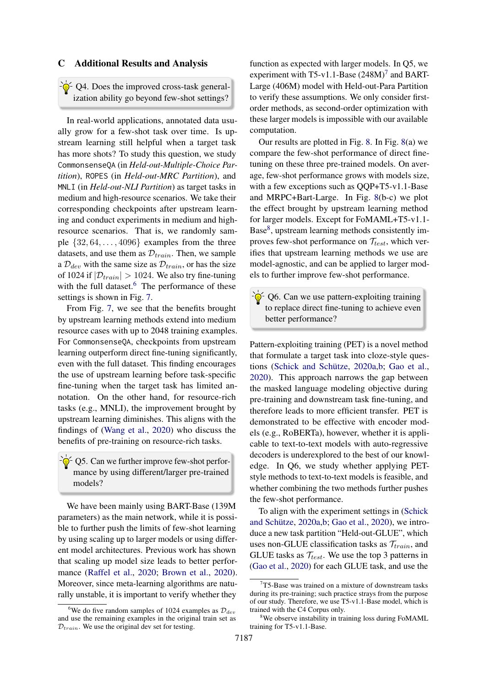## <span id="page-24-0"></span>C Additional Results and Analysis

 $-\hat{\mathcal{Q}}$  O4. Does the improved cross-task generalization ability go beyond few-shot settings?

In real-world applications, annotated data usually grow for a few-shot task over time. Is upstream learning still helpful when a target task has more shots? To study this question, we study CommonsenseQA (in *Held-out-Multiple-Choice Partition*), ROPES (in *Held-out-MRC Partition*), and MNLI (in *Held-out-NLI Partition*) as target tasks in medium and high-resource scenarios. We take their corresponding checkpoints after upstream learning and conduct experiments in medium and highresource scenarios. That is, we randomly sample  $\{32, 64, \ldots, 4096\}$  examples from the three datasets, and use them as  $\mathcal{D}_{train}$ . Then, we sample a  $\mathcal{D}_{dev}$  with the same size as  $\mathcal{D}_{train}$ , or has the size of 1024 if  $|\mathcal{D}_{train}| > 1024$ . We also try fine-tuning with the full dataset. $6$  The performance of these settings is shown in Fig. [7.](#page-25-0)

From Fig. [7,](#page-25-0) we see that the benefits brought by upstream learning methods extend into medium resource cases with up to 2048 training examples. For CommonsenseQA, checkpoints from upstream learning outperform direct fine-tuning significantly, even with the full dataset. This finding encourages the use of upstream learning before task-specific fine-tuning when the target task has limited annotation. On the other hand, for resource-rich tasks (e.g., MNLI), the improvement brought by upstream learning diminishes. This aligns with the findings of [\(Wang et al.,](#page-16-17) [2020\)](#page-16-17) who discuss the benefits of pre-training on resource-rich tasks.

 $\frac{1}{2}Q^2$  Q5. Can we further improve few-shot performance by using different/larger pre-trained models?

We have been mainly using BART-Base (139M parameters) as the main network, while it is possible to further push the limits of few-shot learning by using scaling up to larger models or using different model architectures. Previous work has shown that scaling up model size leads to better performance [\(Raffel et al.,](#page-14-4) [2020;](#page-14-4) [Brown et al.,](#page-9-17) [2020\)](#page-9-17). Moreover, since meta-learning algorithms are naturally unstable, it is important to verify whether they

function as expected with larger models. In Q5, we experiment with T5-v1.1-Base  $(248M)^7$  $(248M)^7$  and BART-Large (406M) model with Held-out-Para Partition to verify these assumptions. We only consider firstorder methods, as second-order optimization with these larger models is impossible with our available computation.

Our results are plotted in Fig. [8.](#page-25-1) In Fig. [8\(](#page-25-1)a) we compare the few-shot performance of direct finetuning on these three pre-trained models. On average, few-shot performance grows with models size, with a few exceptions such as QQP+T5-v1.1-Base and MRPC+Bart-Large. In Fig. [8\(](#page-25-1)b-c) we plot the effect brought by upstream learning method for larger models. Except for FoMAML+T5-v1.1- Base[8](#page-24-3) , upstream learning methods consistently improves few-shot performance on  $\mathcal{T}_{test}$ , which verifies that upstream learning methods we use are model-agnostic, and can be applied to larger models to further improve few-shot performance.

 $\frac{1}{2}$  Q6. Can we use pattern-exploiting training to replace direct fine-tuning to achieve even better performance?

Pattern-exploiting training (PET) is a novel method that formulate a target task into cloze-style questions [\(Schick and Schütze,](#page-15-1) [2020a,](#page-15-1)[b;](#page-15-2) [Gao et al.,](#page-11-0) [2020\)](#page-11-0). This approach narrows the gap between the masked language modeling objective during pre-training and downstream task fine-tuning, and therefore leads to more efficient transfer. PET is demonstrated to be effective with encoder models (e.g., RoBERTa), however, whether it is applicable to text-to-text models with auto-regressive decoders is underexplored to the best of our knowledge. In Q6, we study whether applying PETstyle methods to text-to-text models is feasible, and whether combining the two methods further pushes the few-shot performance.

To align with the experiment settings in [\(Schick](#page-15-1) [and Schütze,](#page-15-1) [2020a](#page-15-1)[,b;](#page-15-2) [Gao et al.,](#page-11-0) [2020\)](#page-11-0), we introduce a new task partition "Held-out-GLUE", which uses non-GLUE classification tasks as  $\mathcal{T}_{train}$ , and GLUE tasks as  $\mathcal{T}_{test}$ . We use the top 3 patterns in [\(Gao et al.,](#page-11-0) [2020\)](#page-11-0) for each GLUE task, and use the

<span id="page-24-1"></span><sup>&</sup>lt;sup>6</sup>We do five random samples of 1024 examples as  $\mathcal{D}_{dev}$ and use the remaining examples in the original train set as  $\mathcal{D}_{train}$ . We use the original dev set for testing.

<span id="page-24-2"></span> $7T5$ -Base was trained on a mixture of downstream tasks during its pre-training; such practice strays from the purpose of our study. Therefore, we use T5-v1.1-Base model, which is trained with the C4 Corpus only.

<span id="page-24-3"></span><sup>8</sup>We observe instability in training loss during FoMAML training for T5-v1.1-Base.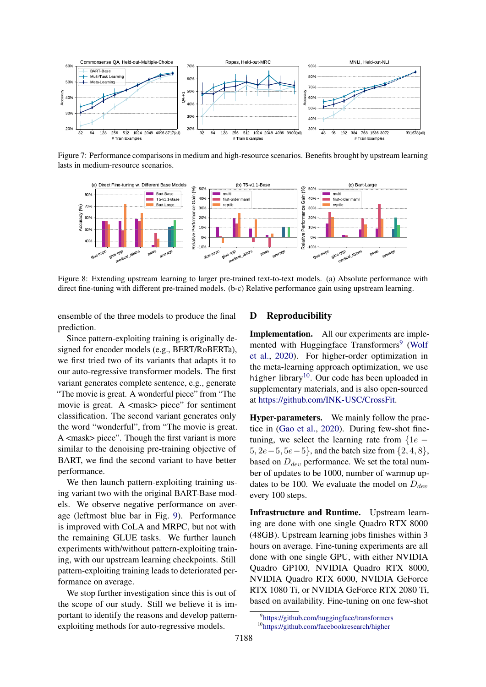<span id="page-25-0"></span>

Figure 7: Performance comparisons in medium and high-resource scenarios. Benefits brought by upstream learning lasts in medium-resource scenarios.

<span id="page-25-1"></span>

Figure 8: Extending upstream learning to larger pre-trained text-to-text models. (a) Absolute performance with direct fine-tuning with different pre-trained models. (b-c) Relative performance gain using upstream learning.

ensemble of the three models to produce the final prediction.

Since pattern-exploiting training is originally designed for encoder models (e.g., BERT/RoBERTa), we first tried two of its variants that adapts it to our auto-regressive transformer models. The first variant generates complete sentence, e.g., generate "The movie is great. A wonderful piece" from "The movie is great. A <mask> piece" for sentiment classification. The second variant generates only the word "wonderful", from "The movie is great. A <mask> piece". Though the first variant is more similar to the denoising pre-training objective of BART, we find the second variant to have better performance.

We then launch pattern-exploiting training using variant two with the original BART-Base models. We observe negative performance on average (leftmost blue bar in Fig. [9\)](#page-26-0). Performance is improved with CoLA and MRPC, but not with the remaining GLUE tasks. We further launch experiments with/without pattern-exploiting training, with our upstream learning checkpoints. Still pattern-exploiting training leads to deteriorated performance on average.

We stop further investigation since this is out of the scope of our study. Still we believe it is important to identify the reasons and develop patternexploiting methods for auto-regressive models.

## D Reproducibility

Implementation. All our experiments are imple-mented with Huggingface Transformers<sup>[9](#page-25-2)</sup> [\(Wolf](#page-17-15) [et al.,](#page-17-15) [2020\)](#page-17-15). For higher-order optimization in the meta-learning approach optimization, we use higher library<sup>[10](#page-25-3)</sup>. Our code has been uploaded in supplementary materials, and is also open-sourced at [https://github.com/INK-USC/CrossFit.](https://github.com/INK-USC/CrossFit)

Hyper-parameters. We mainly follow the practice in [\(Gao et al.,](#page-11-0) [2020\)](#page-11-0). During few-shot finetuning, we select the learning rate from  ${1e 5, 2e-5, 5e-5$ , and the batch size from  $\{2, 4, 8\}$ , based on  $D_{dev}$  performance. We set the total number of updates to be 1000, number of warmup updates to be 100. We evaluate the model on  $D_{dev}$ every 100 steps.

Infrastructure and Runtime. Upstream learning are done with one single Quadro RTX 8000 (48GB). Upstream learning jobs finishes within 3 hours on average. Fine-tuning experiments are all done with one single GPU, with either NVIDIA Quadro GP100, NVIDIA Quadro RTX 8000, NVIDIA Quadro RTX 6000, NVIDIA GeForce RTX 1080 Ti, or NVIDIA GeForce RTX 2080 Ti, based on availability. Fine-tuning on one few-shot

<span id="page-25-2"></span><sup>9</sup> <https://github.com/huggingface/transformers>

<span id="page-25-3"></span><sup>10</sup><https://github.com/facebookresearch/higher>